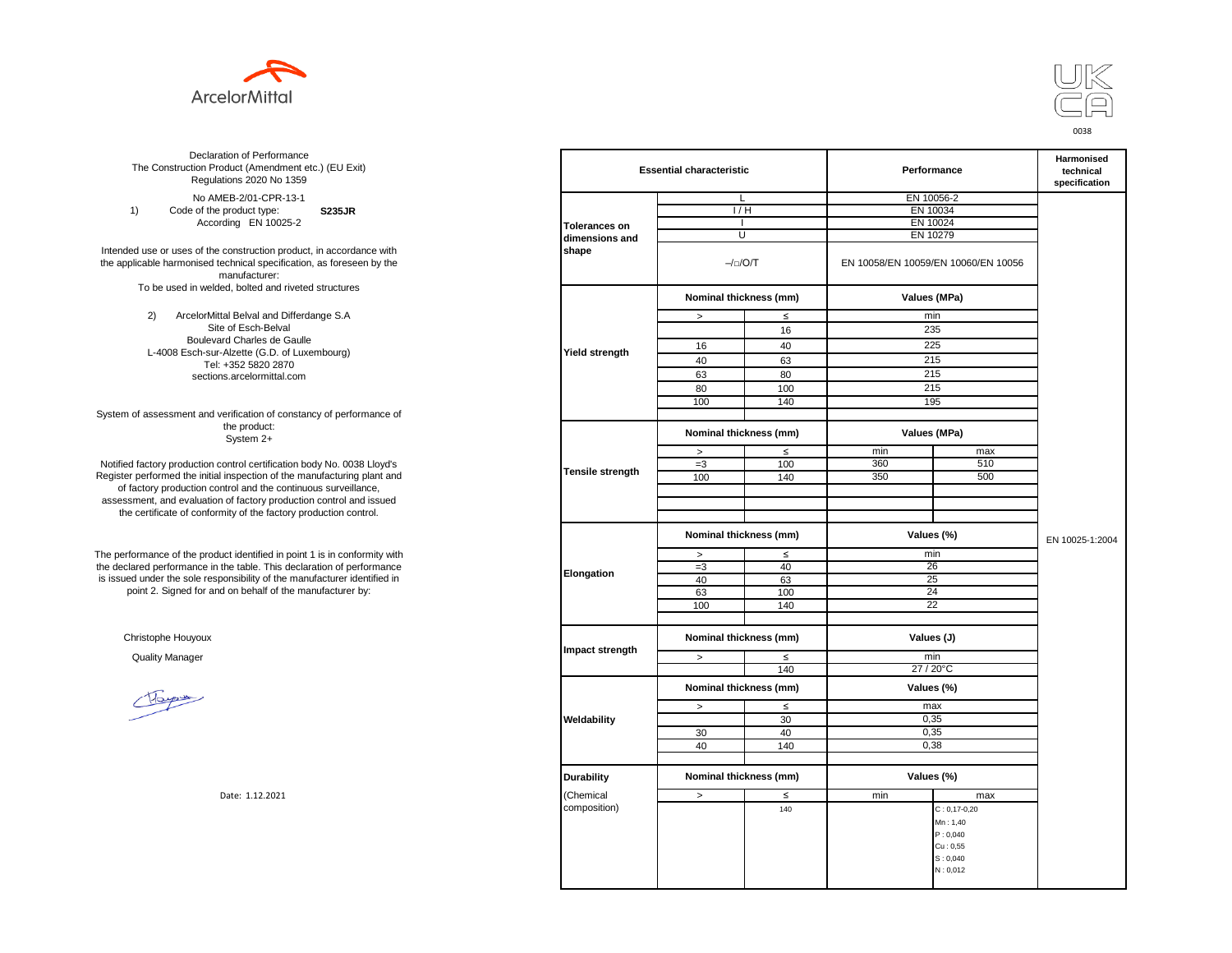



**S235JR** No AMEB-2/01-CPR-13-1 1) Code of the product type: According EN 10025-2

Intended use or uses of the construction product, in accordance with the applicable harmonised technical specification, as foreseen by the manufacturer: To be used in welded, bolted and riveted structures

> 2) ArcelorMittal Belval and Differdange S.A Site of Esch-Belval Boulevard Charles de Gaulle L-4008 Esch-sur-Alzette (G.D. of Luxembourg) Tel: +352 5820 2870 sections.arcelormittal.com

System of assessment and verification of constancy of performance of the product: System 2+

Notified factory production control certification body No. 0038 Lloyd's Register performed the initial inspection of the manufacturing plant and of factory production control and the continuous surveillance, assessment, and evaluation of factory production control and issued the certificate of conformity of the factory production control.

The performance of the product identified in point 1 is in conformity with the declared performance in the table. This declaration of performance is issued under the sole responsibility of the manufacturer identified in point 2. Signed for and on behalf of the manufacturer by:

Christophe Houyoux

| ation of Performance<br>oduct (Amendment etc.) (EU Exit)<br>ations 2020 No 1359                         | <b>Essential characteristic</b> |                                      |           | Performance  | Harmonised<br>technical<br>specification |                 |
|---------------------------------------------------------------------------------------------------------|---------------------------------|--------------------------------------|-----------|--------------|------------------------------------------|-----------------|
| IEB-2/01-CPR-13-1                                                                                       |                                 | L                                    |           |              | EN 10056-2                               |                 |
| product type:<br><b>S235JR</b>                                                                          |                                 | 1/H                                  |           | EN 10034     |                                          |                 |
| rding EN 10025-2                                                                                        | <b>Tolerances on</b>            | $\overline{1}$                       |           | EN 10024     |                                          |                 |
|                                                                                                         | dimensions and                  | U                                    |           | EN 10279     |                                          |                 |
| construction product, in accordance with<br>echnical specification, as foreseen by the<br>manufacturer: | shape                           |                                      | $-/-/O/T$ |              | EN 10058/EN 10059/EN 10060/EN 10056      |                 |
| ed, bolted and riveted structures                                                                       |                                 | Nominal thickness (mm)               |           | Values (MPa) |                                          |                 |
| tal Belval and Differdange S.A                                                                          |                                 | $\, >$                               | $\leq$    |              | min                                      |                 |
| e of Esch-Belval                                                                                        |                                 |                                      | 16        |              | 235                                      |                 |
| ard Charles de Gaulle                                                                                   |                                 | 16                                   | 40        |              | 225                                      |                 |
| -Alzette (G.D. of Luxembourg)                                                                           | <b>Yield strength</b>           |                                      |           |              |                                          |                 |
| +352 5820 2870                                                                                          |                                 | 40                                   | 63        |              | 215                                      |                 |
| ns.arcelormittal.com                                                                                    |                                 | 63                                   | 80        |              | 215                                      |                 |
|                                                                                                         |                                 | 80                                   | 100       |              | 215                                      |                 |
|                                                                                                         |                                 | 100                                  | 140       |              | 195                                      |                 |
| verification of constancy of performance of                                                             |                                 |                                      |           |              |                                          |                 |
| the product:<br>System 2+                                                                               |                                 | Nominal thickness (mm)               |           |              | Values (MPa)                             |                 |
|                                                                                                         |                                 | $\, >$                               | $\leq$    | min          | max                                      |                 |
| control certification body No. 0038 Lloyd's                                                             |                                 | $=3$                                 | 100       | 360          | 510                                      |                 |
| inspection of the manufacturing plant and                                                               | <b>Tensile strength</b>         | 100                                  | 140       | 350          | 500                                      |                 |
| ntrol and the continuous surveillance,                                                                  |                                 |                                      |           |              |                                          |                 |
| of factory production control and issued                                                                |                                 |                                      |           |              |                                          |                 |
| mity of the factory production control.                                                                 |                                 |                                      |           |              |                                          |                 |
|                                                                                                         |                                 | Nominal thickness (mm)               |           |              | Values (%)                               | EN 10025-1:2004 |
| uct identified in point 1 is in conformity with                                                         | Elongation                      | $\, >$                               | $\leq$    |              | min                                      |                 |
| the table. This declaration of performance                                                              |                                 | $=3$                                 | 40        |              | 26                                       |                 |
| ponsibility of the manufacturer identified in                                                           |                                 | 40                                   | 63        |              | 25                                       |                 |
| d on behalf of the manufacturer by:                                                                     |                                 | 63                                   | 100       |              | 24                                       |                 |
|                                                                                                         |                                 | 100                                  | 140       |              | 22                                       |                 |
|                                                                                                         |                                 |                                      |           |              |                                          |                 |
|                                                                                                         |                                 | Nominal thickness (mm)<br>Values (J) |           |              |                                          |                 |
|                                                                                                         | Impact strength                 | $\,>$                                | $\leq$    |              | min                                      |                 |
|                                                                                                         |                                 |                                      | 140       |              | 27 / 20°C                                |                 |
|                                                                                                         |                                 | Nominal thickness (mm)               |           |              | Values (%)                               |                 |
|                                                                                                         |                                 | $\,>$                                | $\leq$    |              | max                                      |                 |
|                                                                                                         | Weldability                     |                                      | 30        |              | 0,35                                     |                 |
|                                                                                                         |                                 | 30                                   | 40        |              | 0,35                                     |                 |
|                                                                                                         |                                 | 40                                   | 140       |              | 0,38                                     |                 |
|                                                                                                         |                                 |                                      |           |              |                                          |                 |
|                                                                                                         | <b>Durability</b>               | Nominal thickness (mm)               |           |              | Values (%)                               |                 |
| Date: 1.12.2021                                                                                         | (Chemical                       | $\,>$                                | ≤         | min          | max                                      |                 |
|                                                                                                         | composition)                    |                                      | 140       |              | $C: 0, 17 - 0, 20$                       |                 |
|                                                                                                         |                                 |                                      |           |              | Mn: 1,40                                 |                 |
|                                                                                                         |                                 |                                      |           |              | P: 0,040                                 |                 |
|                                                                                                         |                                 |                                      |           |              | Cu: 0,55                                 |                 |
|                                                                                                         |                                 |                                      |           |              | S: 0,040                                 |                 |
|                                                                                                         |                                 |                                      |           |              | N: 0,012                                 |                 |
|                                                                                                         |                                 |                                      |           |              |                                          |                 |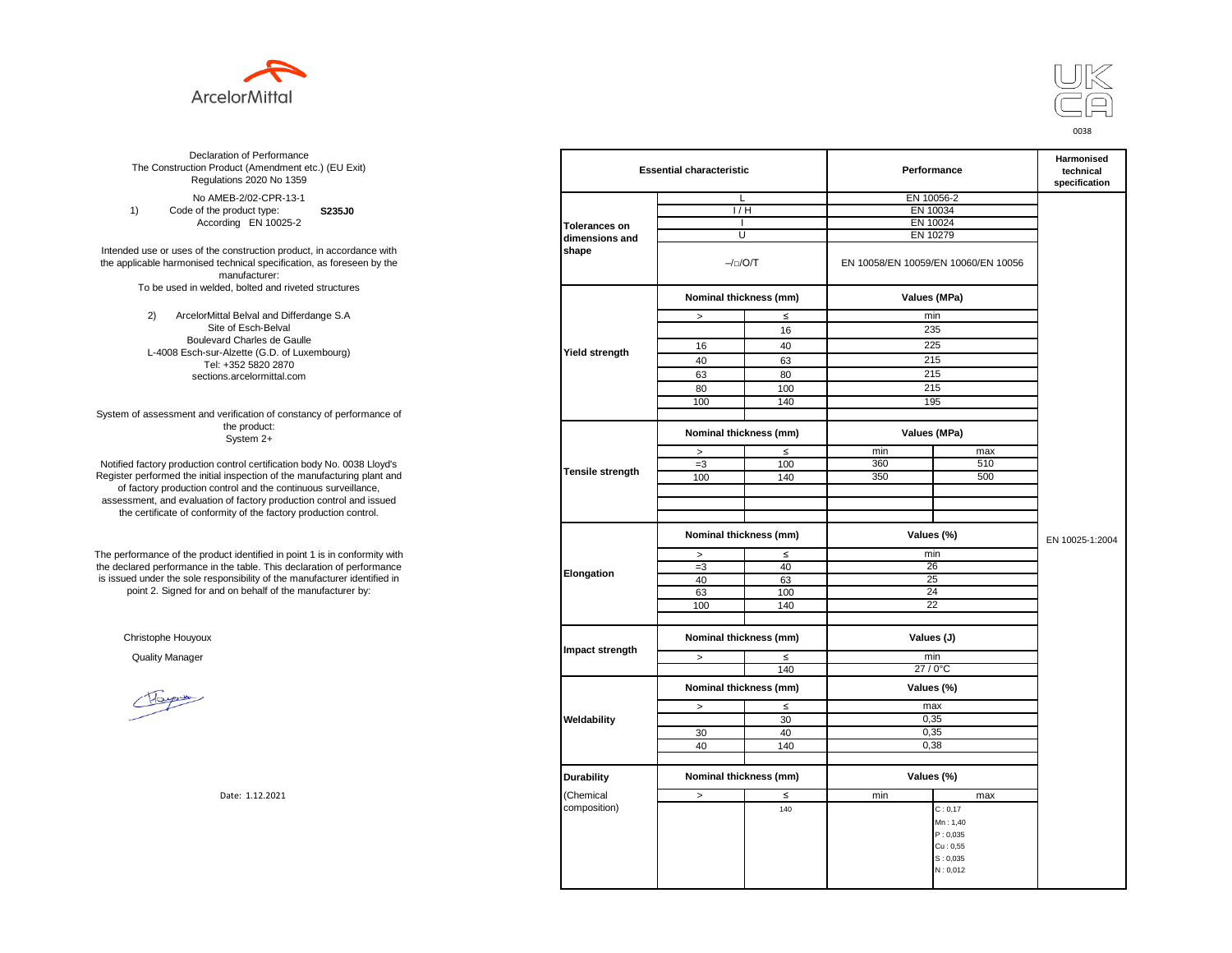



**S235J0** No AMEB-2/02-CPR-13-1 1) Code of the product type: According EN 10025-2

Intended use or uses of the construction product, in accordance with the applicable harmonised technical specification, as foreseen by the manufacturer: To be used in welded, bolted and riveted structures

> 2) ArcelorMittal Belval and Differdange S.A Site of Esch-Belval Boulevard Charles de Gaulle L-4008 Esch-sur-Alzette (G.D. of Luxembourg) Tel: +352 5820 2870 sections.arcelormittal.com

System of assessment and verification of constancy of performance of the product: System 2+

Notified factory production control certification body No. 0038 Lloyd's Register performed the initial inspection of the manufacturing plant and of factory production control and the continuous surveillance, assessment, and evaluation of factory production control and issued the certificate of conformity of the factory production control.

The performance of the product identified in point 1 is in conformity with the declared performance in the table. This declaration of performance is issued under the sole responsibility of the manufacturer identified in point 2. Signed for and on behalf of the manufacturer by:

Christophe Houyoux

| ation of Performance<br>oduct (Amendment etc.) (EU Exit)<br>ations 2020 No 1359                         |                         | <b>Essential characteristic</b> |                        |                                     | Performance  |                 |  |
|---------------------------------------------------------------------------------------------------------|-------------------------|---------------------------------|------------------------|-------------------------------------|--------------|-----------------|--|
| IEB-2/02-CPR-13-1                                                                                       |                         | L                               |                        |                                     | EN 10056-2   |                 |  |
| product type:<br>S235J0                                                                                 |                         | 1/H                             |                        | EN 10034                            |              |                 |  |
| rding EN 10025-2                                                                                        | <b>Tolerances on</b>    | $\overline{1}$                  |                        | EN 10024                            |              |                 |  |
|                                                                                                         | dimensions and          |                                 | U                      | EN 10279                            |              |                 |  |
| construction product, in accordance with<br>echnical specification, as foreseen by the<br>manufacturer: | shape                   | $-/-/O/T$                       |                        | EN 10058/EN 10059/EN 10060/EN 10056 |              |                 |  |
| ed, bolted and riveted structures                                                                       |                         |                                 | Nominal thickness (mm) |                                     | Values (MPa) |                 |  |
| tal Belval and Differdange S.A                                                                          |                         | $\, >$                          | $\leq$                 |                                     | min          |                 |  |
| e of Esch-Belval                                                                                        |                         |                                 | 16                     |                                     | 235          |                 |  |
| ard Charles de Gaulle                                                                                   |                         | 16                              | 40                     |                                     | 225          |                 |  |
| -Alzette (G.D. of Luxembourg)                                                                           | <b>Yield strength</b>   |                                 |                        |                                     |              |                 |  |
| +352 5820 2870                                                                                          |                         | 40                              | 63                     |                                     | 215          |                 |  |
| ns.arcelormittal.com                                                                                    |                         | 63                              | 80                     |                                     | 215          |                 |  |
|                                                                                                         |                         | 80                              | 100                    |                                     | 215          |                 |  |
|                                                                                                         |                         | 100                             | 140                    |                                     | 195          |                 |  |
| verification of constancy of performance of                                                             |                         |                                 |                        |                                     |              |                 |  |
| the product:<br>System 2+                                                                               |                         | Nominal thickness (mm)          |                        |                                     | Values (MPa) |                 |  |
|                                                                                                         |                         | $\, >$                          | $\leq$                 | min                                 | max          |                 |  |
| control certification body No. 0038 Lloyd's                                                             |                         | $=3$                            | 100                    | 360                                 | 510          |                 |  |
| inspection of the manufacturing plant and                                                               | <b>Tensile strength</b> | 100                             | 140                    | 350                                 | 500          |                 |  |
| ntrol and the continuous surveillance,                                                                  |                         |                                 |                        |                                     |              |                 |  |
| of factory production control and issued                                                                |                         |                                 |                        |                                     |              |                 |  |
| mity of the factory production control.                                                                 |                         |                                 |                        |                                     |              |                 |  |
|                                                                                                         |                         | Nominal thickness (mm)          |                        |                                     | Values (%)   | EN 10025-1:2004 |  |
| uct identified in point 1 is in conformity with                                                         | Elongation              | $\, >$                          | $\leq$                 |                                     | min          |                 |  |
| the table. This declaration of performance                                                              |                         | $=3$                            | 40                     |                                     | 26           |                 |  |
| ponsibility of the manufacturer identified in                                                           |                         | 40                              | 63                     |                                     | 25           |                 |  |
| d on behalf of the manufacturer by:                                                                     |                         | 63                              | 100                    |                                     | 24           |                 |  |
|                                                                                                         |                         | 100                             | 140                    |                                     | 22           |                 |  |
|                                                                                                         |                         |                                 |                        |                                     |              |                 |  |
|                                                                                                         |                         | Nominal thickness (mm)          |                        |                                     | Values (J)   |                 |  |
|                                                                                                         | Impact strength         | $\,>$                           | $\leq$                 |                                     | min          |                 |  |
|                                                                                                         |                         |                                 | 140                    |                                     | 27 / 0°C     |                 |  |
|                                                                                                         |                         | Nominal thickness (mm)          |                        |                                     | Values (%)   |                 |  |
|                                                                                                         |                         | $\,>$                           | $\leq$                 |                                     | max          |                 |  |
|                                                                                                         | Weldability             |                                 | 30                     |                                     | 0,35         |                 |  |
|                                                                                                         |                         | 30                              | 40                     |                                     | 0,35         |                 |  |
|                                                                                                         |                         | 40                              | 140                    |                                     | 0,38         |                 |  |
|                                                                                                         |                         |                                 |                        |                                     |              |                 |  |
|                                                                                                         | <b>Durability</b>       | Nominal thickness (mm)          |                        |                                     | Values (%)   |                 |  |
| Date: 1.12.2021                                                                                         | (Chemical               | $\, >$                          | ≤                      | min                                 | max          |                 |  |
|                                                                                                         | composition)            |                                 | 140                    |                                     | C: 0, 17     |                 |  |
|                                                                                                         |                         |                                 |                        |                                     | Mn: 1,40     |                 |  |
|                                                                                                         |                         |                                 |                        |                                     | P: 0,035     |                 |  |
|                                                                                                         |                         |                                 |                        |                                     | Cu: 0,55     |                 |  |
|                                                                                                         |                         |                                 |                        |                                     | S: 0,035     |                 |  |
|                                                                                                         |                         |                                 |                        |                                     | N: 0,012     |                 |  |
|                                                                                                         |                         |                                 |                        |                                     |              |                 |  |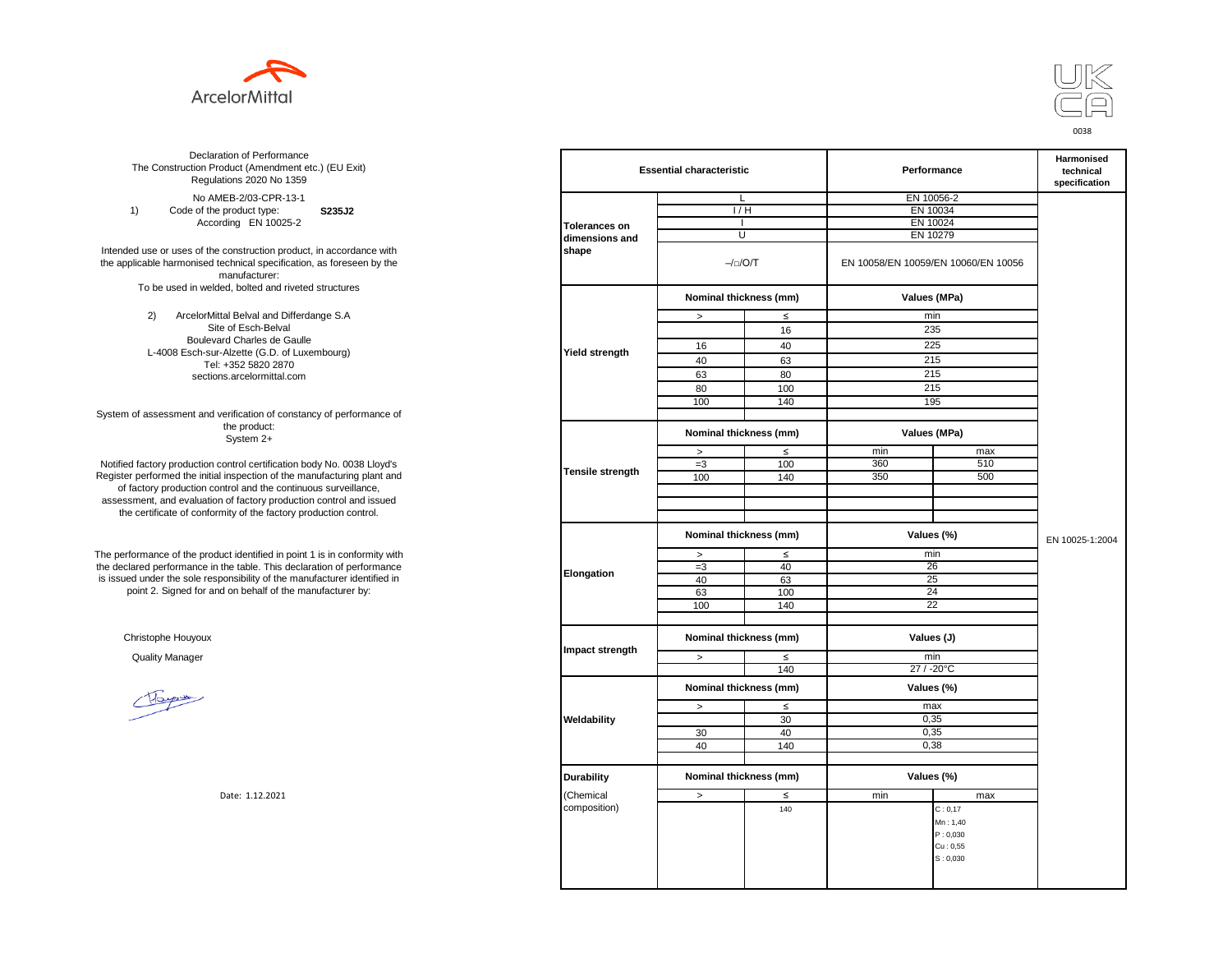



**S235J2** No AMEB-2/03-CPR-13-1 1) Code of the product type: According EN 10025-2

Intended use or uses of the construction product, in accordance with the applicable harmonised technical specification, as foreseen by the manufacturer: To be used in welded, bolted and riveted structures

> 2) ArcelorMittal Belval and Differdange S.A Site of Esch-Belval Boulevard Charles de Gaulle L-4008 Esch-sur-Alzette (G.D. of Luxembourg) Tel: +352 5820 2870 sections.arcelormittal.com

System of assessment and verification of constancy of performance of the product: System 2+

Notified factory production control certification body No. 0038 Lloyd's Register performed the initial inspection of the manufacturing plant and of factory production control and the continuous surveillance, assessment, and evaluation of factory production control and issued the certificate of conformity of the factory production control.

The performance of the product identified in point 1 is in conformity with the declared performance in the table. This declaration of performance is issued under the sole responsibility of the manufacturer identified in point 2. Signed for and on behalf of the manufacturer by:

Christophe Houyoux

| ation of Performance<br>oduct (Amendment etc.) (EU Exit)<br>ations 2020 No 1359                         |                         | <b>Essential characteristic</b> |                        |          | Performance                         |                 |  |
|---------------------------------------------------------------------------------------------------------|-------------------------|---------------------------------|------------------------|----------|-------------------------------------|-----------------|--|
| IEB-2/03-CPR-13-1                                                                                       |                         | L                               |                        |          | EN 10056-2                          |                 |  |
| product type:<br>S235J2                                                                                 |                         |                                 | 1/H                    |          | EN 10034                            |                 |  |
| rding EN 10025-2                                                                                        | <b>Tolerances on</b>    | $\overline{1}$                  |                        | EN 10024 |                                     |                 |  |
|                                                                                                         | dimensions and          |                                 | U                      |          | EN 10279                            |                 |  |
| construction product, in accordance with<br>echnical specification, as foreseen by the<br>manufacturer: | shape                   |                                 | $-/-/O/T$              |          | EN 10058/EN 10059/EN 10060/EN 10056 |                 |  |
| ed, bolted and riveted structures                                                                       |                         |                                 | Nominal thickness (mm) |          | Values (MPa)                        |                 |  |
| tal Belval and Differdange S.A                                                                          |                         | $\, >$                          | $\leq$                 |          | min                                 |                 |  |
| e of Esch-Belval                                                                                        |                         |                                 | 16                     |          | 235                                 |                 |  |
| ard Charles de Gaulle                                                                                   |                         | 16                              | 40                     |          | 225                                 |                 |  |
| -Alzette (G.D. of Luxembourg)                                                                           | <b>Yield strength</b>   |                                 |                        |          |                                     |                 |  |
| +352 5820 2870                                                                                          |                         | 40                              | 63                     |          | 215                                 |                 |  |
| ns.arcelormittal.com                                                                                    |                         | 63                              | 80                     |          | 215                                 |                 |  |
|                                                                                                         |                         | 80                              | 100                    |          | 215                                 |                 |  |
|                                                                                                         |                         | 100                             | 140                    |          | 195                                 |                 |  |
| verification of constancy of performance of                                                             |                         |                                 |                        |          |                                     |                 |  |
| the product:<br>System 2+                                                                               |                         | Nominal thickness (mm)          |                        |          | Values (MPa)                        |                 |  |
|                                                                                                         |                         | $\, >$                          | $\leq$                 | min      | max                                 |                 |  |
| control certification body No. 0038 Lloyd's                                                             |                         | $=3$                            | 100                    | 360      | 510                                 |                 |  |
| inspection of the manufacturing plant and                                                               | <b>Tensile strength</b> | 100                             | 140                    | 350      | 500                                 |                 |  |
| ntrol and the continuous surveillance,                                                                  |                         |                                 |                        |          |                                     |                 |  |
| of factory production control and issued                                                                |                         |                                 |                        |          |                                     |                 |  |
| mity of the factory production control.                                                                 |                         |                                 |                        |          |                                     |                 |  |
|                                                                                                         |                         | Nominal thickness (mm)          |                        |          | Values (%)                          | EN 10025-1:2004 |  |
| uct identified in point 1 is in conformity with                                                         | Elongation              | $\, >$                          | $\leq$                 |          | min                                 |                 |  |
| the table. This declaration of performance                                                              |                         | $=3$                            | 40                     |          | 26                                  |                 |  |
| ponsibility of the manufacturer identified in                                                           |                         | 40                              | 63                     |          | 25                                  |                 |  |
| d on behalf of the manufacturer by:                                                                     |                         | 63                              | 100                    |          | 24                                  |                 |  |
|                                                                                                         |                         | 100                             | 140                    |          | 22                                  |                 |  |
|                                                                                                         |                         |                                 |                        |          |                                     |                 |  |
|                                                                                                         |                         |                                 | Nominal thickness (mm) |          | Values (J)                          |                 |  |
|                                                                                                         | Impact strength         | $\,>$                           | $\leq$                 |          | min                                 |                 |  |
|                                                                                                         |                         |                                 | 140                    |          | 27 / -20°C                          |                 |  |
|                                                                                                         |                         | Nominal thickness (mm)          |                        |          | Values (%)                          |                 |  |
|                                                                                                         |                         | $\,>$                           | $\leq$                 |          | max                                 |                 |  |
|                                                                                                         | Weldability             |                                 | 30                     |          | 0,35                                |                 |  |
|                                                                                                         |                         | 30                              | 40                     |          | 0,35                                |                 |  |
|                                                                                                         |                         | 40                              | 140                    |          | 0,38                                |                 |  |
|                                                                                                         |                         |                                 |                        |          |                                     |                 |  |
|                                                                                                         | <b>Durability</b>       | Nominal thickness (mm)          |                        |          | Values (%)                          |                 |  |
| Date: 1.12.2021                                                                                         | (Chemical               | $\,>$                           | ≤                      | min      | max                                 |                 |  |
|                                                                                                         | composition)            |                                 | 140                    |          | C: 0, 17                            |                 |  |
|                                                                                                         |                         |                                 |                        |          | Mn: 1,40                            |                 |  |
|                                                                                                         |                         |                                 |                        |          | P: 0,030                            |                 |  |
|                                                                                                         |                         |                                 |                        |          | Cu: 0,55                            |                 |  |
|                                                                                                         |                         |                                 |                        |          | S: 0,030                            |                 |  |
|                                                                                                         |                         |                                 |                        |          |                                     |                 |  |
|                                                                                                         |                         |                                 |                        |          |                                     |                 |  |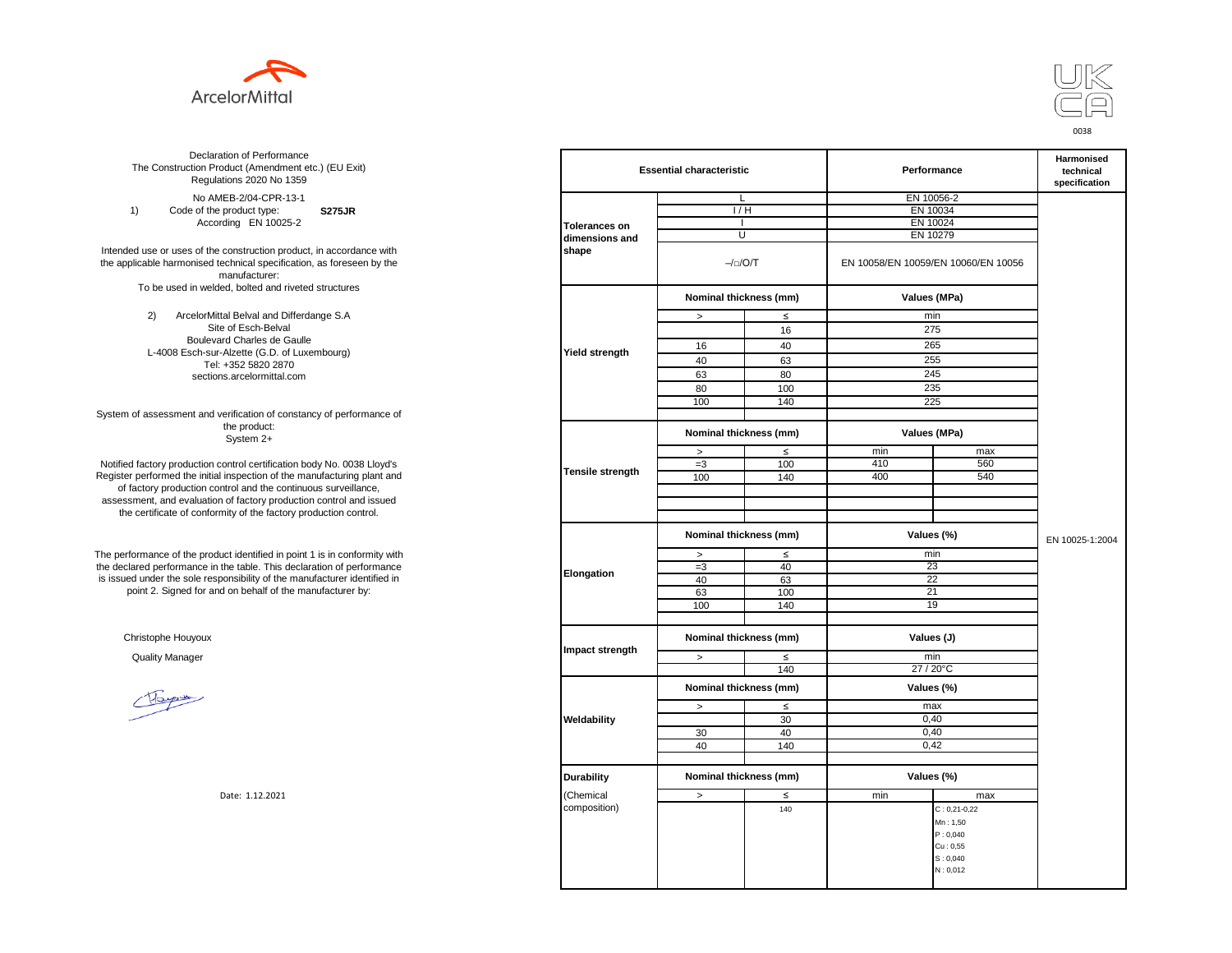



**S275JR** No AMEB-2/04-CPR-13-1 1) Code of the product type: According EN 10025-2

Intended use or uses of the construction product, in accordance with the applicable harmonised technical specification, as foreseen by the manufacturer: To be used in welded, bolted and riveted structures

> 2) ArcelorMittal Belval and Differdange S.A Site of Esch-Belval Boulevard Charles de Gaulle L-4008 Esch-sur-Alzette (G.D. of Luxembourg) Tel: +352 5820 2870 sections.arcelormittal.com

System of assessment and verification of constancy of performance of the product: System 2+

Notified factory production control certification body No. 0038 Lloyd's Register performed the initial inspection of the manufacturing plant and of factory production control and the continuous surveillance, assessment, and evaluation of factory production control and issued the certificate of conformity of the factory production control.

The performance of the product identified in point 1 is in conformity with the declared performance in the table. This declaration of performance is issued under the sole responsibility of the manufacturer identified in point 2. Signed for and on behalf of the manufacturer by:

Christophe Houyoux

| ation of Performance<br>oduct (Amendment etc.) (EU Exit)<br>ations 2020 No 1359                         | <b>Essential characteristic</b> |                                      |                        | Performance                         | Harmonised<br>technical<br>specification |                 |
|---------------------------------------------------------------------------------------------------------|---------------------------------|--------------------------------------|------------------------|-------------------------------------|------------------------------------------|-----------------|
| IEB-2/04-CPR-13-1                                                                                       |                                 | L                                    |                        |                                     | EN 10056-2                               |                 |
| product type:<br><b>S275JR</b>                                                                          |                                 | 1/H                                  |                        | EN 10034                            |                                          |                 |
| rding EN 10025-2                                                                                        | <b>Tolerances on</b>            | $\overline{1}$                       |                        |                                     | EN 10024                                 |                 |
|                                                                                                         | dimensions and                  | U                                    |                        | EN 10279                            |                                          |                 |
| construction product, in accordance with<br>echnical specification, as foreseen by the<br>manufacturer: | shape                           | $-/-/O/T$                            |                        | EN 10058/EN 10059/EN 10060/EN 10056 |                                          |                 |
| ed, bolted and riveted structures                                                                       |                                 |                                      | Nominal thickness (mm) |                                     | Values (MPa)                             |                 |
| tal Belval and Differdange S.A                                                                          |                                 | $\, >$                               | $\leq$                 |                                     | min                                      |                 |
| e of Esch-Belval                                                                                        |                                 |                                      | 16                     |                                     | 275                                      |                 |
| ard Charles de Gaulle                                                                                   |                                 | 16                                   | 40                     |                                     | 265                                      |                 |
| -Alzette (G.D. of Luxembourg)                                                                           | <b>Yield strength</b>           |                                      |                        |                                     |                                          |                 |
| +352 5820 2870                                                                                          |                                 | 40                                   | 63                     |                                     | 255                                      |                 |
| ns.arcelormittal.com                                                                                    |                                 | 63                                   | 80                     |                                     | 245                                      |                 |
|                                                                                                         |                                 | 80                                   | 100                    |                                     | 235                                      |                 |
|                                                                                                         |                                 | 100                                  | 140                    |                                     | 225                                      |                 |
| verification of constancy of performance of                                                             |                                 |                                      |                        |                                     |                                          |                 |
| the product:<br>System 2+                                                                               |                                 | Nominal thickness (mm)               |                        |                                     | Values (MPa)                             |                 |
|                                                                                                         |                                 | $\, >$                               | $\leq$                 | min                                 | max                                      |                 |
| control certification body No. 0038 Lloyd's                                                             |                                 | $=3$                                 | 100                    | 410                                 | 560                                      |                 |
| inspection of the manufacturing plant and                                                               | <b>Tensile strength</b>         | 100                                  | 140                    | 400                                 | 540                                      |                 |
| ntrol and the continuous surveillance,                                                                  |                                 |                                      |                        |                                     |                                          |                 |
| of factory production control and issued                                                                |                                 |                                      |                        |                                     |                                          |                 |
| mity of the factory production control.                                                                 |                                 |                                      |                        |                                     |                                          |                 |
|                                                                                                         |                                 | Nominal thickness (mm)               |                        |                                     | Values (%)                               | EN 10025-1:2004 |
| uct identified in point 1 is in conformity with                                                         | Elongation                      | $\, >$                               | $\leq$                 |                                     | min                                      |                 |
| the table. This declaration of performance                                                              |                                 | $=3$                                 | 40                     |                                     | 23                                       |                 |
| ponsibility of the manufacturer identified in                                                           |                                 | 40                                   | 63                     |                                     | 22                                       |                 |
| d on behalf of the manufacturer by:                                                                     |                                 | 63                                   | 100                    |                                     | 21                                       |                 |
|                                                                                                         |                                 | 100                                  | 140                    |                                     | 19                                       |                 |
|                                                                                                         |                                 |                                      |                        |                                     |                                          |                 |
|                                                                                                         |                                 | Nominal thickness (mm)<br>Values (J) |                        |                                     |                                          |                 |
|                                                                                                         | Impact strength                 | $\geq$                               | $\leq$                 |                                     | min                                      |                 |
|                                                                                                         |                                 |                                      | 140                    |                                     | 27 / 20°C                                |                 |
|                                                                                                         |                                 | Nominal thickness (mm)               |                        |                                     | Values (%)                               |                 |
|                                                                                                         |                                 | $\,>$                                | $\leq$                 |                                     | max                                      |                 |
|                                                                                                         | Weldability                     |                                      | 30                     |                                     | 0,40                                     |                 |
|                                                                                                         |                                 | 30                                   | 40                     |                                     | 0,40                                     |                 |
|                                                                                                         |                                 | 40                                   | 140                    |                                     | 0,42                                     |                 |
|                                                                                                         |                                 |                                      |                        |                                     |                                          |                 |
|                                                                                                         | <b>Durability</b>               | Nominal thickness (mm)               |                        |                                     | Values (%)                               |                 |
| Date: 1.12.2021                                                                                         | (Chemical                       | $\, >$                               | ≤                      | min                                 | max                                      |                 |
|                                                                                                         | composition)                    |                                      | 140                    |                                     | $C: 0, 21 - 0, 22$                       |                 |
|                                                                                                         |                                 |                                      |                        |                                     | Mn: 1,50                                 |                 |
|                                                                                                         |                                 |                                      |                        |                                     | P: 0,040                                 |                 |
|                                                                                                         |                                 |                                      |                        |                                     | Cu: 0,55                                 |                 |
|                                                                                                         |                                 |                                      |                        |                                     | S: 0,040                                 |                 |
|                                                                                                         |                                 |                                      |                        |                                     | N: 0,012                                 |                 |
|                                                                                                         |                                 |                                      |                        |                                     |                                          |                 |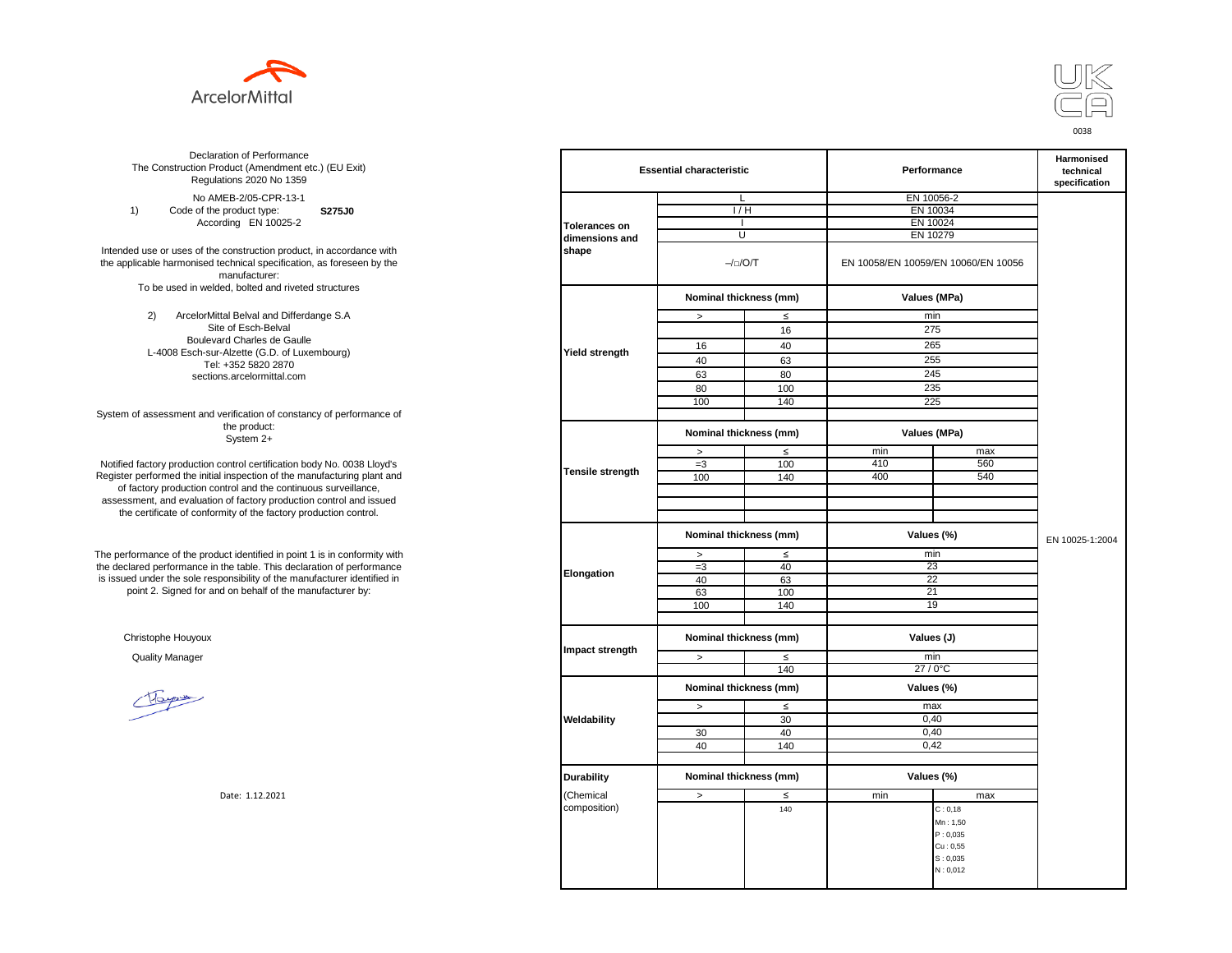



**S275J0**  No AMEB-2/05-CPR-13-1 1) Code of the product type: According EN 10025-2

Intended use or uses of the construction product, in accordance with the applicable harmonised technical specification, as foreseen by the manufacturer: To be used in welded, bolted and riveted structures

> 2) ArcelorMittal Belval and Differdange S.A Site of Esch-Belval Boulevard Charles de Gaulle L-4008 Esch-sur-Alzette (G.D. of Luxembourg) Tel: +352 5820 2870 sections.arcelormittal.com

System of assessment and verification of constancy of performance of the product: System 2+

Notified factory production control certification body No. 0038 Lloyd's Register performed the initial inspection of the manufacturing plant and of factory production control and the continuous surveillance, assessment, and evaluation of factory production control and issued the certificate of conformity of the factory production control.

The performance of the product identified in point 1 is in conformity with the declared performance in the table. This declaration of performance is issued under the sole responsibility of the manufacturer identified in point 2. Signed for and on behalf of the manufacturer by:

Christophe Houyoux

| ation of Performance<br>oduct (Amendment etc.) (EU Exit)<br>ations 2020 No 1359                         |                      | <b>Essential characteristic</b> |                        |                                     | Performance  |                 |
|---------------------------------------------------------------------------------------------------------|----------------------|---------------------------------|------------------------|-------------------------------------|--------------|-----------------|
| IEB-2/05-CPR-13-1                                                                                       |                      | L                               |                        |                                     | EN 10056-2   |                 |
| product type:<br>S275J0                                                                                 |                      | 1/H                             |                        | EN 10034                            |              |                 |
| rding EN 10025-2                                                                                        | <b>Tolerances on</b> |                                 |                        | EN 10024                            |              |                 |
|                                                                                                         | dimensions and       | U                               |                        |                                     | EN 10279     |                 |
| construction product, in accordance with<br>echnical specification, as foreseen by the<br>manufacturer: | shape                | $-/-/O/T$                       |                        | EN 10058/EN 10059/EN 10060/EN 10056 |              |                 |
| ed, bolted and riveted structures                                                                       |                      |                                 | Nominal thickness (mm) |                                     | Values (MPa) |                 |
| tal Belval and Differdange S.A                                                                          |                      | $\, >$                          | $\leq$                 |                                     | min          |                 |
| e of Esch-Belval                                                                                        |                      |                                 | 16                     |                                     | 275          |                 |
| ard Charles de Gaulle                                                                                   |                      | 16                              | 40                     |                                     | 265          |                 |
| -Alzette (G.D. of Luxembourg)                                                                           | Yield strength       | 40                              |                        |                                     | 255          |                 |
| +352 5820 2870                                                                                          |                      |                                 | 63                     |                                     |              |                 |
| ns.arcelormittal.com                                                                                    |                      | 63                              | 80                     |                                     | 245          |                 |
|                                                                                                         |                      | 80                              | 100                    |                                     | 235          |                 |
|                                                                                                         |                      | 100                             | 140                    |                                     | 225          |                 |
| verification of constancy of performance of<br>the product:                                             |                      | Nominal thickness (mm)          |                        |                                     | Values (MPa) |                 |
| System 2+                                                                                               |                      |                                 |                        |                                     |              |                 |
| control certification body No. 0038 Lloyd's                                                             |                      | $\,$                            | $\leq$<br>100          | min<br>410                          | max<br>560   |                 |
| inspection of the manufacturing plant and                                                               | Tensile strength     | $=3$                            |                        | 400                                 | 540          |                 |
| ntrol and the continuous surveillance,                                                                  |                      | 100                             | 140                    |                                     |              |                 |
| of factory production control and issued                                                                |                      |                                 |                        |                                     |              |                 |
| mity of the factory production control.                                                                 |                      |                                 |                        |                                     |              |                 |
|                                                                                                         |                      |                                 |                        |                                     |              |                 |
|                                                                                                         |                      | Nominal thickness (mm)          |                        |                                     | Values (%)   | EN 10025-1:2004 |
| uct identified in point 1 is in conformity with                                                         |                      | $\,$                            | $\leq$                 |                                     | min          |                 |
| the table. This declaration of performance                                                              | Elongation           | $=3$                            | 40                     |                                     | 23           |                 |
| ponsibility of the manufacturer identified in                                                           |                      | 40                              | 63                     |                                     | 22           |                 |
| d on behalf of the manufacturer by:                                                                     |                      | 63                              | 100                    |                                     | 21           |                 |
|                                                                                                         |                      | 100                             | 140                    |                                     | 19           |                 |
|                                                                                                         |                      |                                 |                        |                                     |              |                 |
|                                                                                                         | Impact strength      | Nominal thickness (mm)          |                        | Values (J)                          |              |                 |
|                                                                                                         |                      | $\, >$                          | $\leq$                 |                                     | min          |                 |
|                                                                                                         |                      |                                 | 140                    |                                     | $27/0$ °C    |                 |
|                                                                                                         |                      | Nominal thickness (mm)          |                        |                                     | Values (%)   |                 |
|                                                                                                         |                      | $\,>$                           | $\leq$                 |                                     | max          |                 |
|                                                                                                         | Weldability          |                                 | 30                     |                                     | 0,40         |                 |
|                                                                                                         |                      | 30                              | 40                     |                                     | 0,40         |                 |
|                                                                                                         |                      | 40                              | 140                    |                                     | 0,42         |                 |
|                                                                                                         |                      |                                 |                        |                                     |              |                 |
|                                                                                                         | <b>Durability</b>    | Nominal thickness (mm)          |                        |                                     | Values (%)   |                 |
| Date: 1.12.2021                                                                                         | (Chemical            | $\,>$                           | $\leq$                 | min                                 | max          |                 |
|                                                                                                         | composition)         |                                 | 140                    |                                     | C: 0, 18     |                 |
|                                                                                                         |                      |                                 |                        |                                     | Mn: 1,50     |                 |
|                                                                                                         |                      |                                 |                        |                                     | P: 0,035     |                 |
|                                                                                                         |                      |                                 |                        |                                     | Cu: 0,55     |                 |
|                                                                                                         |                      |                                 |                        |                                     | S: 0,035     |                 |
|                                                                                                         |                      |                                 |                        |                                     | N: 0,012     |                 |
|                                                                                                         |                      |                                 |                        |                                     |              |                 |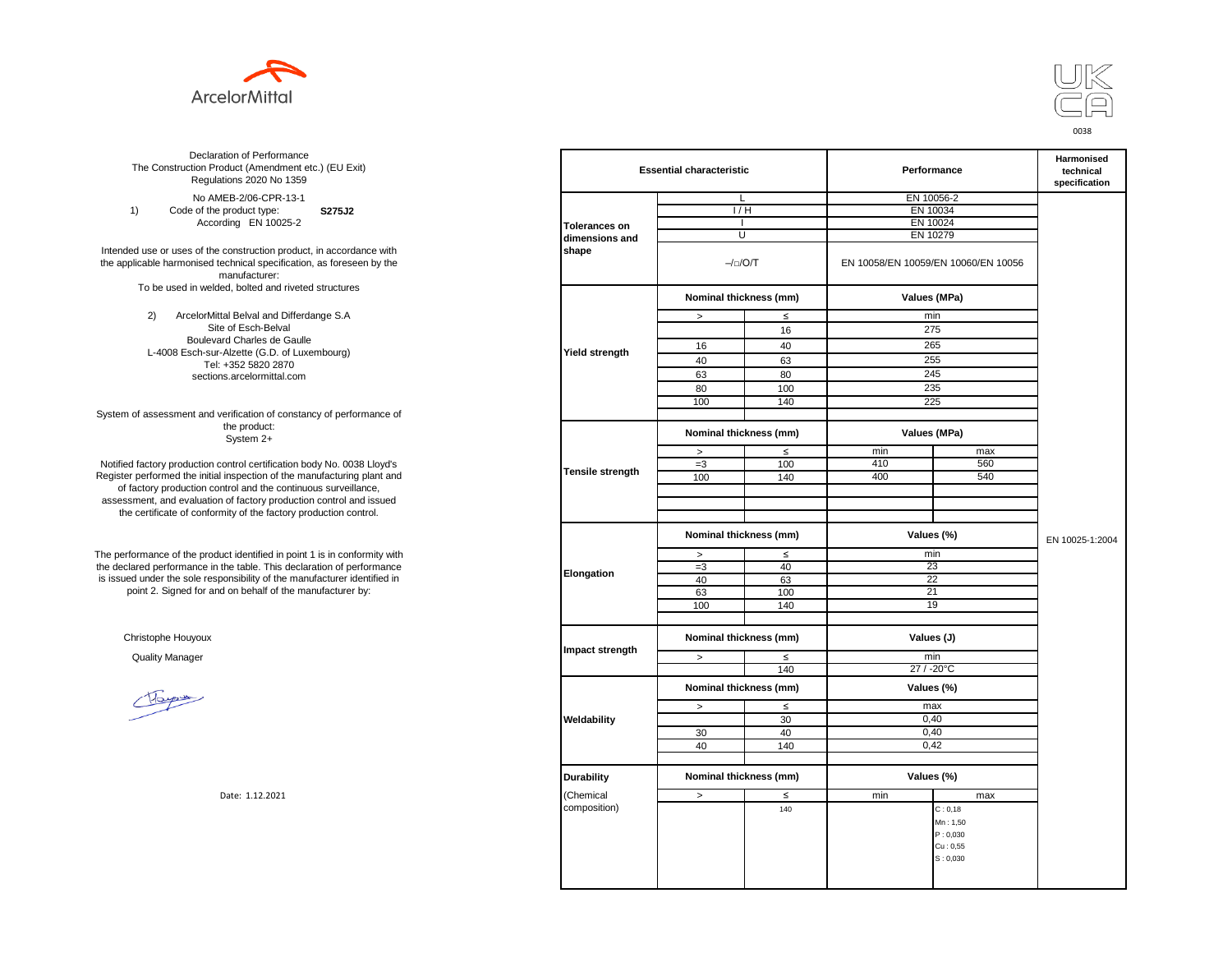



**S275J2**  No AMEB-2/06-CPR-13-1 1) Code of the product type: According EN 10025-2

Intended use or uses of the construction product, in accordance with the applicable harmonised technical specification, as foreseen by the manufacturer: To be used in welded, bolted and riveted structures

> 2) ArcelorMittal Belval and Differdange S.A Site of Esch-Belval Boulevard Charles de Gaulle L-4008 Esch-sur-Alzette (G.D. of Luxembourg) Tel: +352 5820 2870 sections.arcelormittal.com

System of assessment and verification of constancy of performance of the product: System 2+

Notified factory production control certification body No. 0038 Lloyd's Register performed the initial inspection of the manufacturing plant and of factory production control and the continuous surveillance, assessment, and evaluation of factory production control and issued the certificate of conformity of the factory production control.

The performance of the product identified in point 1 is in conformity with the declared performance in the table. This declaration of performance is issued under the sole responsibility of the manufacturer identified in point 2. Signed for and on behalf of the manufacturer by:

Christophe Houyoux

| ation of Performance<br>oduct (Amendment etc.) (EU Exit)<br>ations 2020 No 1359                         |                       | <b>Essential characteristic</b> |                                      |          | Performance                         |                 |  |
|---------------------------------------------------------------------------------------------------------|-----------------------|---------------------------------|--------------------------------------|----------|-------------------------------------|-----------------|--|
| IEB-2/06-CPR-13-1                                                                                       |                       |                                 | L                                    |          | EN 10056-2                          |                 |  |
| product type:<br>S275J2                                                                                 |                       | 1/H                             |                                      | EN 10034 |                                     |                 |  |
| rding EN 10025-2                                                                                        | <b>Tolerances on</b>  |                                 |                                      |          | EN 10024                            |                 |  |
|                                                                                                         | dimensions and        |                                 | U                                    | EN 10279 |                                     |                 |  |
| construction product, in accordance with<br>echnical specification, as foreseen by the<br>manufacturer: | shape                 |                                 | $-/-/O/T$                            |          | EN 10058/EN 10059/EN 10060/EN 10056 |                 |  |
| ed, bolted and riveted structures                                                                       |                       |                                 | Nominal thickness (mm)               |          | Values (MPa)                        |                 |  |
| tal Belval and Differdange S.A                                                                          |                       | $\, >$                          | $\leq$                               |          | min                                 |                 |  |
| e of Esch-Belval                                                                                        |                       |                                 | 16                                   |          | 275                                 |                 |  |
| ard Charles de Gaulle                                                                                   |                       | 16                              | 40                                   |          | 265                                 |                 |  |
| -Alzette (G.D. of Luxembourg)                                                                           | <b>Yield strength</b> |                                 |                                      |          | 255                                 |                 |  |
| +352 5820 2870                                                                                          |                       | 40                              | 63                                   |          |                                     |                 |  |
| ns.arcelormittal.com                                                                                    |                       | 63                              | 80                                   |          | 245                                 |                 |  |
|                                                                                                         |                       | 80                              | 100                                  |          | 235                                 |                 |  |
|                                                                                                         |                       | 100                             | 140                                  |          | 225                                 |                 |  |
| verification of constancy of performance of<br>the product:                                             |                       | Nominal thickness (mm)          |                                      |          | Values (MPa)                        |                 |  |
| System 2+                                                                                               |                       |                                 |                                      |          |                                     |                 |  |
|                                                                                                         |                       | $\,$                            | $\leq$                               | min      | max                                 |                 |  |
| control certification body No. 0038 Lloyd's                                                             | Tensile strength      | $=3$                            | 100                                  | 410      | 560                                 |                 |  |
| inspection of the manufacturing plant and                                                               |                       | 100                             | 140                                  | 400      | 540                                 |                 |  |
| ntrol and the continuous surveillance,                                                                  |                       |                                 |                                      |          |                                     |                 |  |
| of factory production control and issued<br>mity of the factory production control.                     |                       |                                 |                                      |          |                                     |                 |  |
|                                                                                                         |                       |                                 |                                      |          |                                     |                 |  |
|                                                                                                         |                       | Nominal thickness (mm)          |                                      |          | Values (%)                          | EN 10025-1:2004 |  |
| uct identified in point 1 is in conformity with                                                         | Elongation            | $\,$                            | $\leq$                               |          | min                                 |                 |  |
| the table. This declaration of performance                                                              |                       | $=3$                            | 40                                   |          | 23                                  |                 |  |
| ponsibility of the manufacturer identified in                                                           |                       | 40                              | 63                                   |          | 22                                  |                 |  |
| d on behalf of the manufacturer by:                                                                     |                       | 63                              | 100                                  |          | 21                                  |                 |  |
|                                                                                                         |                       | 100                             | 140                                  |          | 19                                  |                 |  |
|                                                                                                         |                       |                                 |                                      |          |                                     |                 |  |
|                                                                                                         | Impact strength       |                                 | Nominal thickness (mm)<br>Values (J) |          |                                     |                 |  |
|                                                                                                         |                       | $\, >$                          | $\leq$                               |          | min                                 |                 |  |
|                                                                                                         |                       |                                 | 140                                  |          | 27 / -20°C                          |                 |  |
|                                                                                                         |                       | Nominal thickness (mm)          |                                      |          | Values (%)                          |                 |  |
|                                                                                                         |                       | $\,>$                           | $\leq$                               |          | max                                 |                 |  |
|                                                                                                         | Weldability           |                                 | 30                                   |          | 0,40                                |                 |  |
|                                                                                                         |                       | 30                              | 40                                   |          | 0,40                                |                 |  |
|                                                                                                         |                       | 40                              | 140                                  |          | 0,42                                |                 |  |
|                                                                                                         |                       |                                 |                                      |          |                                     |                 |  |
|                                                                                                         | <b>Durability</b>     | Nominal thickness (mm)          |                                      |          | Values (%)                          |                 |  |
| Date: 1.12.2021                                                                                         | (Chemical             | $\,>$                           | $\leq$                               | min      | max                                 |                 |  |
|                                                                                                         | composition)          |                                 | 140                                  |          | C: 0, 18                            |                 |  |
|                                                                                                         |                       |                                 |                                      |          | Mn: 1,50                            |                 |  |
|                                                                                                         |                       |                                 |                                      |          | P: 0,030                            |                 |  |
|                                                                                                         |                       |                                 |                                      |          | Cu: 0,55                            |                 |  |
|                                                                                                         |                       |                                 |                                      |          | S: 0,030                            |                 |  |
|                                                                                                         |                       |                                 |                                      |          |                                     |                 |  |
|                                                                                                         |                       |                                 |                                      |          |                                     |                 |  |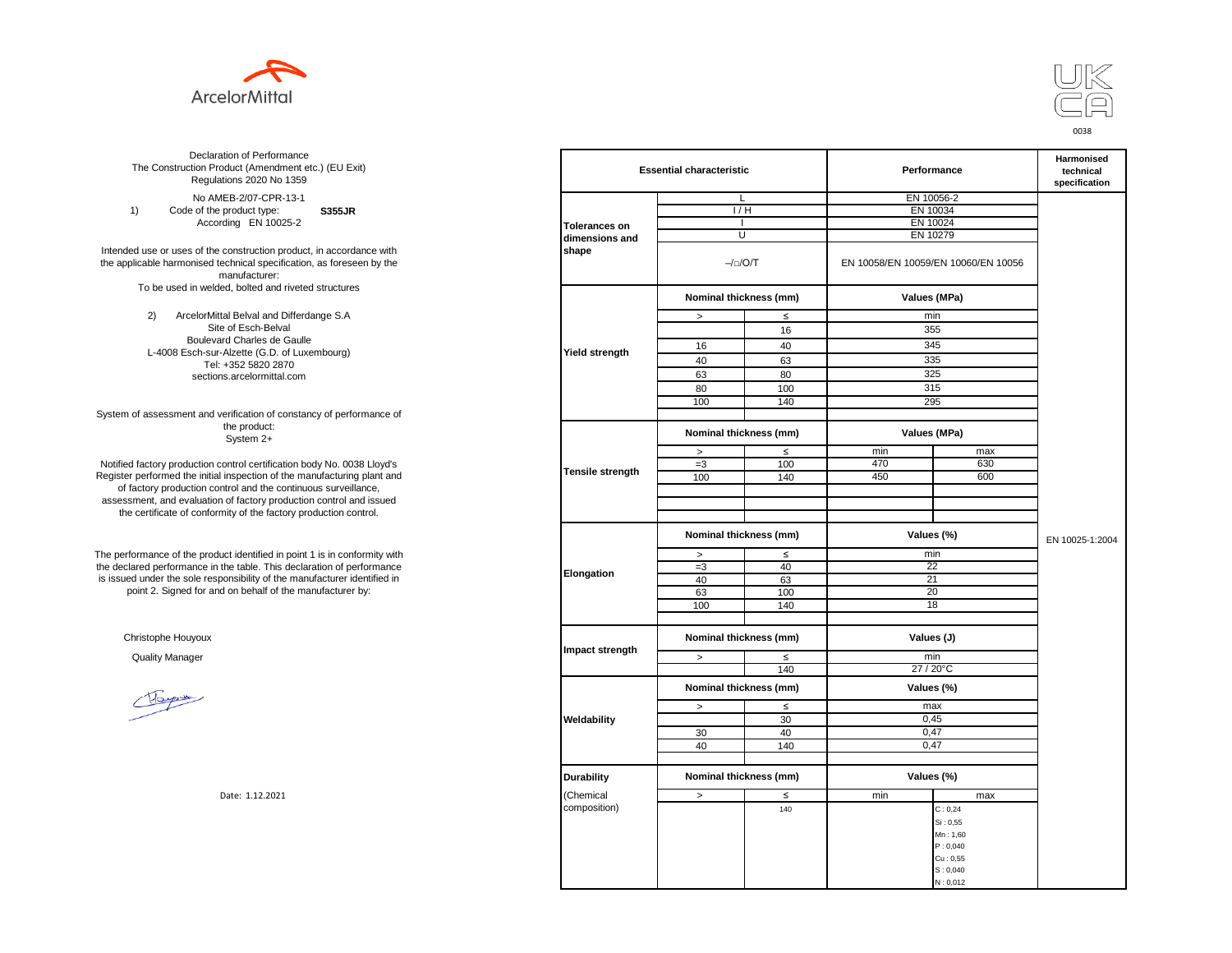



**S355JR**  No AMEB-2/07-CPR-13-1 1) Code of the product type: According EN 10025-2

Intended use or uses of the construction product, in accordance with the applicable harmonised technical specification, as foreseen by the manufacturer: To be used in welded, bolted and riveted structures

> 2) ArcelorMittal Belval and Differdange S.A Site of Esch-Belval Boulevard Charles de Gaulle L-4008 Esch-sur-Alzette (G.D. of Luxembourg) Tel: +352 5820 2870 sections.arcelormittal.com

System of assessment and verification of constancy of performance of the product: System 2+

Notified factory production control certification body No. 0038 Lloyd's Register performed the initial inspection of the manufacturing plant and of factory production control and the continuous surveillance, assessment, and evaluation of factory production control and issued the certificate of conformity of the factory production control.

The performance of the product identified in point 1 is in conformity with the declared performance in the table. This declaration of performance is issued under the sole responsibility of the manufacturer identified in point 2. Signed for and on behalf of the manufacturer by:

Christophe Houyoux

| ation of Performance<br>oduct (Amendment etc.) (EU Exit)<br>ations 2020 No 1359                         |                      | <b>Essential characteristic</b>      |                        |          | Performance                         |                 |  |
|---------------------------------------------------------------------------------------------------------|----------------------|--------------------------------------|------------------------|----------|-------------------------------------|-----------------|--|
| IEB-2/07-CPR-13-1                                                                                       |                      | L                                    |                        |          | EN 10056-2                          |                 |  |
| product type:<br><b>S355JR</b>                                                                          |                      | 1/H                                  |                        | EN 10034 |                                     |                 |  |
| rding EN 10025-2                                                                                        | <b>Tolerances on</b> |                                      |                        | EN 10024 |                                     |                 |  |
|                                                                                                         | dimensions and       | U                                    |                        |          | EN 10279                            |                 |  |
| construction product, in accordance with<br>echnical specification, as foreseen by the<br>manufacturer: | shape                |                                      | $-/-/O/T$              |          | EN 10058/EN 10059/EN 10060/EN 10056 |                 |  |
| ed, bolted and riveted structures                                                                       |                      |                                      | Nominal thickness (mm) |          | Values (MPa)                        |                 |  |
| tal Belval and Differdange S.A                                                                          |                      | $\, >$                               | $\leq$                 |          | min                                 |                 |  |
| e of Esch-Belval                                                                                        |                      |                                      | 16                     |          | 355                                 |                 |  |
| ard Charles de Gaulle                                                                                   |                      |                                      |                        |          | 345                                 |                 |  |
| -Alzette (G.D. of Luxembourg)                                                                           | Yield strength       | 16                                   | 40                     |          |                                     |                 |  |
| +352 5820 2870                                                                                          |                      | 40                                   | 63                     |          | 335                                 |                 |  |
| ns.arcelormittal.com                                                                                    |                      | 63                                   | 80                     |          | 325                                 |                 |  |
|                                                                                                         |                      | 80                                   | 100                    |          | 315                                 |                 |  |
|                                                                                                         |                      | 100                                  | 140                    |          | 295                                 |                 |  |
| verification of constancy of performance of                                                             |                      |                                      |                        |          |                                     |                 |  |
| the product:<br>System 2+                                                                               |                      | Nominal thickness (mm)               |                        |          | Values (MPa)                        |                 |  |
|                                                                                                         |                      | $\,$                                 | $\leq$                 | min      | max                                 |                 |  |
| control certification body No. 0038 Lloyd's                                                             |                      | $=3$                                 | 100                    | 470      | 630                                 |                 |  |
| inspection of the manufacturing plant and                                                               | Tensile strength     | 100                                  | 140                    | 450      | 600                                 |                 |  |
| ntrol and the continuous surveillance,                                                                  |                      |                                      |                        |          |                                     |                 |  |
| of factory production control and issued                                                                |                      |                                      |                        |          |                                     |                 |  |
| mity of the factory production control.                                                                 |                      |                                      |                        |          |                                     |                 |  |
|                                                                                                         |                      | Nominal thickness (mm)               |                        |          | Values (%)                          | EN 10025-1:2004 |  |
| uct identified in point 1 is in conformity with                                                         |                      | $\,$                                 | $\leq$                 |          | min                                 |                 |  |
| the table. This declaration of performance                                                              |                      | $=3$                                 | 40                     |          | 22                                  |                 |  |
| ponsibility of the manufacturer identified in                                                           | Elongation           | 40                                   | 63                     |          | 21                                  |                 |  |
| d on behalf of the manufacturer by:                                                                     |                      | 63                                   | 100                    |          | 20                                  |                 |  |
|                                                                                                         |                      | 100                                  | 140                    |          | 18                                  |                 |  |
|                                                                                                         |                      |                                      |                        |          |                                     |                 |  |
|                                                                                                         | Impact strength      | Nominal thickness (mm)<br>Values (J) |                        |          |                                     |                 |  |
|                                                                                                         |                      | $\, >$                               | $\leq$                 |          | min                                 |                 |  |
|                                                                                                         |                      |                                      | 140                    |          | 27 / 20°C                           |                 |  |
|                                                                                                         |                      | Nominal thickness (mm)               |                        |          | Values (%)                          |                 |  |
|                                                                                                         |                      | $\,>$                                | $\leq$                 |          | max                                 |                 |  |
|                                                                                                         | Weldability          |                                      | 30                     |          | 0,45                                |                 |  |
|                                                                                                         |                      | 30                                   | 40                     |          | 0,47                                |                 |  |
|                                                                                                         |                      | 40                                   | 140                    |          | 0,47                                |                 |  |
|                                                                                                         |                      |                                      |                        |          |                                     |                 |  |
|                                                                                                         | <b>Durability</b>    | Nominal thickness (mm)               |                        |          | Values (%)                          |                 |  |
| Date: 1.12.2021                                                                                         | (Chemical            | $\,>$                                | $\leq$                 | min      | max                                 |                 |  |
|                                                                                                         | composition)         |                                      | 140                    |          | C: 0, 24                            |                 |  |
|                                                                                                         |                      |                                      |                        |          | Si: 0,55                            |                 |  |
|                                                                                                         |                      |                                      |                        |          | Mn: 1,60                            |                 |  |
|                                                                                                         |                      |                                      |                        |          | P: 0,040                            |                 |  |
|                                                                                                         |                      |                                      |                        |          | Cu: 0.55                            |                 |  |
|                                                                                                         |                      |                                      |                        |          | S: 0,040                            |                 |  |
|                                                                                                         |                      |                                      |                        |          | N: 0,012                            |                 |  |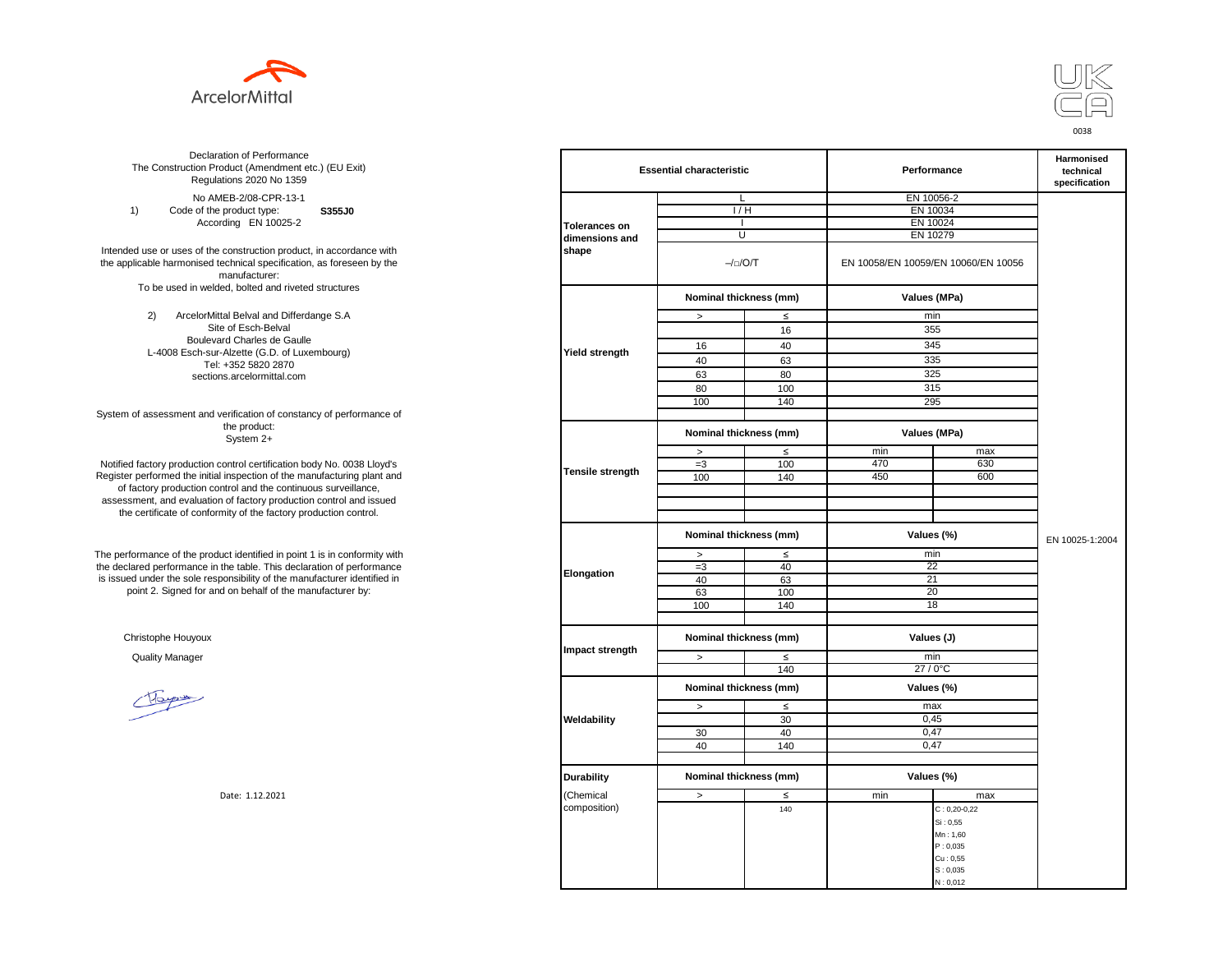



**S355J0**  No AMEB-2/08-CPR-13-1 1) Code of the product type: According EN 10025-2

Intended use or uses of the construction product, in accordance with the applicable harmonised technical specification, as foreseen by the manufacturer: To be used in welded, bolted and riveted structures

> 2) ArcelorMittal Belval and Differdange S.A Site of Esch-Belval Boulevard Charles de Gaulle L-4008 Esch-sur-Alzette (G.D. of Luxembourg) Tel: +352 5820 2870 sections.arcelormittal.com

System of assessment and verification of constancy of performance of the product: System 2+

Notified factory production control certification body No. 0038 Lloyd's Register performed the initial inspection of the manufacturing plant and of factory production control and the continuous surveillance, assessment, and evaluation of factory production control and issued the certificate of conformity of the factory production control.

The performance of the product identified in point 1 is in conformity with the declared performance in the table. This declaration of performance is issued under the sole responsibility of the manufacturer identified in point 2. Signed for and on behalf of the manufacturer by:

Christophe Houyoux

| ation of Performance<br>oduct (Amendment etc.) (EU Exit)<br>ations 2020 No 1359                         |                         | <b>Essential characteristic</b> |               | Performance                         | Harmonised<br>technical<br>specification |                 |
|---------------------------------------------------------------------------------------------------------|-------------------------|---------------------------------|---------------|-------------------------------------|------------------------------------------|-----------------|
| IEB-2/08-CPR-13-1                                                                                       |                         | L                               |               |                                     | EN 10056-2                               |                 |
| product type:<br>S355J0                                                                                 |                         | 1/H                             |               | EN 10034                            |                                          |                 |
| rding EN 10025-2                                                                                        | <b>Tolerances on</b>    | $\mathbf{I}$                    |               | EN 10024                            |                                          |                 |
|                                                                                                         | dimensions and          | U                               |               | EN 10279                            |                                          |                 |
| construction product, in accordance with<br>echnical specification, as foreseen by the<br>manufacturer: | shape                   | $-/-/O/T$                       |               | EN 10058/EN 10059/EN 10060/EN 10056 |                                          |                 |
| ed, bolted and riveted structures                                                                       |                         | Nominal thickness (mm)          |               |                                     | Values (MPa)                             |                 |
| tal Belval and Differdange S.A                                                                          |                         | $\, >$                          | $\leq$        |                                     | min                                      |                 |
| e of Esch-Belval                                                                                        |                         |                                 | 16            |                                     | 355                                      |                 |
| ard Charles de Gaulle                                                                                   |                         | 16                              | 40            |                                     | 345                                      |                 |
| -Alzette (G.D. of Luxembourg)                                                                           | <b>Yield strength</b>   |                                 |               |                                     | 335                                      |                 |
| +352 5820 2870                                                                                          |                         | 40                              | 63            |                                     |                                          |                 |
| ns.arcelormittal.com                                                                                    |                         | 63                              | 80            |                                     | 325                                      |                 |
|                                                                                                         |                         | 80                              | 100           |                                     | 315                                      |                 |
|                                                                                                         |                         | 100                             | 140           |                                     | 295                                      |                 |
| verification of constancy of performance of<br>the product:                                             |                         | Nominal thickness (mm)          |               |                                     | Values (MPa)                             |                 |
| System 2+                                                                                               |                         |                                 |               |                                     |                                          |                 |
| control certification body No. 0038 Lloyd's                                                             |                         | $\, >$<br>$=3$                  | $\leq$<br>100 | min<br>470                          | max<br>630                               |                 |
| inspection of the manufacturing plant and                                                               | <b>Tensile strength</b> | 100                             | 140           | 450                                 | 600                                      |                 |
| ntrol and the continuous surveillance,                                                                  |                         |                                 |               |                                     |                                          |                 |
| of factory production control and issued                                                                |                         |                                 |               |                                     |                                          |                 |
| mity of the factory production control.                                                                 |                         |                                 |               |                                     |                                          |                 |
|                                                                                                         |                         | Nominal thickness (mm)          |               |                                     | Values (%)                               | EN 10025-1:2004 |
|                                                                                                         |                         |                                 |               |                                     |                                          |                 |
| uct identified in point 1 is in conformity with<br>the table. This declaration of performance           |                         | $\, >$                          | $\leq$<br>40  |                                     | min<br>22                                |                 |
| ponsibility of the manufacturer identified in                                                           | Elongation              | $=3$<br>40                      |               |                                     | 21                                       |                 |
| d on behalf of the manufacturer by:                                                                     |                         | 63                              | 63            |                                     | 20                                       |                 |
|                                                                                                         |                         | 100                             | 100<br>140    |                                     | 18                                       |                 |
|                                                                                                         |                         |                                 |               |                                     |                                          |                 |
|                                                                                                         |                         | Nominal thickness (mm)          |               | Values (J)                          |                                          |                 |
|                                                                                                         | Impact strength         | $\geq$                          | $\leq$        |                                     | min                                      |                 |
|                                                                                                         |                         |                                 | 140           |                                     | 27 / 0°C                                 |                 |
|                                                                                                         |                         | Nominal thickness (mm)          |               |                                     | Values (%)                               |                 |
|                                                                                                         |                         | $\,>$                           | $\leq$        |                                     | max                                      |                 |
|                                                                                                         | Weldability             |                                 | 30            |                                     | 0,45                                     |                 |
|                                                                                                         |                         | 30                              | 40            |                                     | 0,47                                     |                 |
|                                                                                                         |                         | 40                              | 140           |                                     | 0,47                                     |                 |
|                                                                                                         |                         |                                 |               |                                     |                                          |                 |
|                                                                                                         | <b>Durability</b>       | Nominal thickness (mm)          |               |                                     | Values (%)                               |                 |
| Date: 1.12.2021                                                                                         | (Chemical               | $\,>$                           | ≤             | min                                 | max                                      |                 |
|                                                                                                         | composition)            |                                 | 140           |                                     | $C: 0, 20 - 0, 22$                       |                 |
|                                                                                                         |                         |                                 |               |                                     | Si: 0,55                                 |                 |
|                                                                                                         |                         |                                 |               |                                     | Mn: 1,60                                 |                 |
|                                                                                                         |                         |                                 |               |                                     | P: 0,035                                 |                 |
|                                                                                                         |                         |                                 |               |                                     | Cu: 0,55                                 |                 |
|                                                                                                         |                         |                                 |               |                                     | S: 0,035                                 |                 |
|                                                                                                         |                         |                                 |               |                                     | N: 0,012                                 |                 |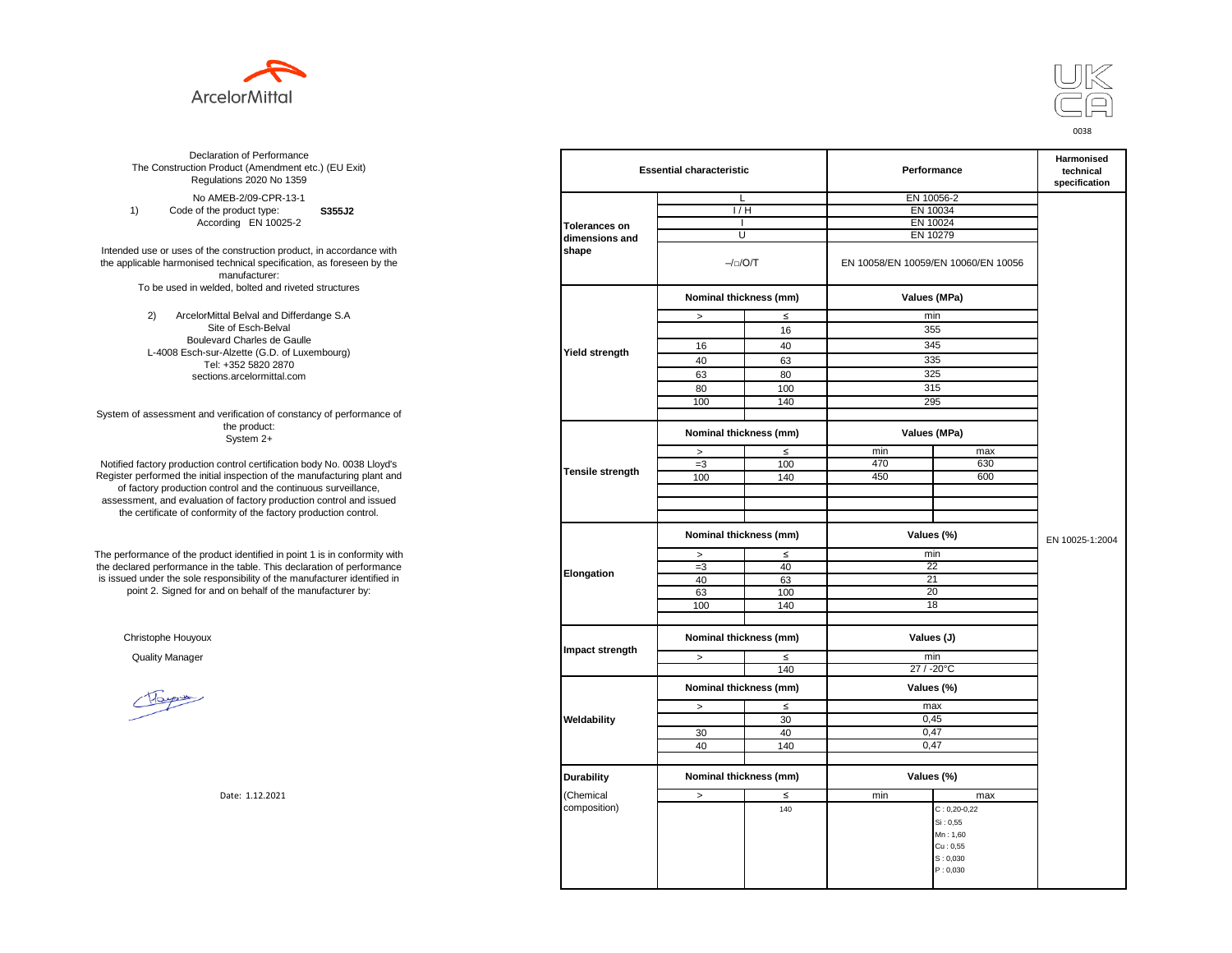



**S355J2**  No AMEB-2/09-CPR-13-1 1) Code of the product type: According EN 10025-2

Intended use or uses of the construction product, in accordance with the applicable harmonised technical specification, as foreseen by the manufacturer: To be used in welded, bolted and riveted structures

> 2) ArcelorMittal Belval and Differdange S.A Site of Esch-Belval Boulevard Charles de Gaulle L-4008 Esch-sur-Alzette (G.D. of Luxembourg) Tel: +352 5820 2870 sections.arcelormittal.com

System of assessment and verification of constancy of performance of the product: System 2+

Notified factory production control certification body No. 0038 Lloyd's Register performed the initial inspection of the manufacturing plant and of factory production control and the continuous surveillance, assessment, and evaluation of factory production control and issued the certificate of conformity of the factory production control.

The performance of the product identified in point 1 is in conformity with the declared performance in the table. This declaration of performance is issued under the sole responsibility of the manufacturer identified in point 2. Signed for and on behalf of the manufacturer by:

Christophe Houyoux

| ation of Performance<br>oduct (Amendment etc.) (EU Exit)<br>ations 2020 No 1359                         |                      | <b>Essential characteristic</b>      |           |          | Performance                         |                 |  |
|---------------------------------------------------------------------------------------------------------|----------------------|--------------------------------------|-----------|----------|-------------------------------------|-----------------|--|
| IEB-2/09-CPR-13-1                                                                                       |                      | L                                    |           |          | EN 10056-2                          |                 |  |
| product type:<br>S355J2                                                                                 |                      | 1/H                                  |           | EN 10034 |                                     |                 |  |
| rding EN 10025-2                                                                                        | <b>Tolerances on</b> |                                      |           | EN 10024 |                                     |                 |  |
|                                                                                                         | dimensions and       | U                                    |           | EN 10279 |                                     |                 |  |
| construction product, in accordance with<br>echnical specification, as foreseen by the<br>manufacturer: | shape                |                                      | $-/-/O/T$ |          | EN 10058/EN 10059/EN 10060/EN 10056 |                 |  |
| ed, bolted and riveted structures                                                                       |                      | Nominal thickness (mm)               |           |          | Values (MPa)                        |                 |  |
| tal Belval and Differdange S.A                                                                          |                      | $\, >$                               | $\leq$    |          | min                                 |                 |  |
| e of Esch-Belval                                                                                        |                      |                                      | 16        |          | 355                                 |                 |  |
| ard Charles de Gaulle                                                                                   |                      |                                      |           |          | 345                                 |                 |  |
| -Alzette (G.D. of Luxembourg)                                                                           | Yield strength       | 16                                   | 40        |          |                                     |                 |  |
| +352 5820 2870                                                                                          |                      | 40                                   | 63        |          | 335                                 |                 |  |
| ns.arcelormittal.com                                                                                    |                      | 63                                   | 80        |          | 325                                 |                 |  |
|                                                                                                         |                      | 80                                   | 100       |          | 315                                 |                 |  |
|                                                                                                         |                      | 100                                  | 140       |          | 295                                 |                 |  |
| verification of constancy of performance of                                                             |                      |                                      |           |          |                                     |                 |  |
| the product:<br>System 2+                                                                               |                      | Nominal thickness (mm)               |           |          | Values (MPa)                        |                 |  |
|                                                                                                         |                      | $\,$                                 | $\leq$    | min      | max                                 |                 |  |
| control certification body No. 0038 Lloyd's                                                             |                      | $=3$                                 | 100       | 470      | 630                                 |                 |  |
| inspection of the manufacturing plant and                                                               | Tensile strength     | 100                                  | 140       | 450      | 600                                 |                 |  |
| ntrol and the continuous surveillance,                                                                  |                      |                                      |           |          |                                     |                 |  |
| of factory production control and issued                                                                |                      |                                      |           |          |                                     |                 |  |
| mity of the factory production control.                                                                 |                      |                                      |           |          |                                     |                 |  |
|                                                                                                         |                      | Nominal thickness (mm)               |           |          | Values (%)                          | EN 10025-1:2004 |  |
| uct identified in point 1 is in conformity with                                                         |                      | $\,$                                 | $\leq$    |          | min                                 |                 |  |
| the table. This declaration of performance                                                              |                      | $=3$                                 | 40        |          | 22                                  |                 |  |
| ponsibility of the manufacturer identified in                                                           | Elongation           | 40                                   | 63        |          | 21                                  |                 |  |
| d on behalf of the manufacturer by:                                                                     |                      | 63                                   | 100       |          | 20                                  |                 |  |
|                                                                                                         |                      | 100                                  | 140       |          | 18                                  |                 |  |
|                                                                                                         |                      |                                      |           |          |                                     |                 |  |
|                                                                                                         |                      | Nominal thickness (mm)<br>Values (J) |           |          |                                     |                 |  |
|                                                                                                         | Impact strength      | $\, >$                               | $\leq$    |          | min                                 |                 |  |
|                                                                                                         |                      |                                      | 140       |          | 27 / -20°C                          |                 |  |
|                                                                                                         |                      | Nominal thickness (mm)               |           |          | Values (%)                          |                 |  |
|                                                                                                         |                      | $\,>$                                | $\leq$    |          | max                                 |                 |  |
|                                                                                                         | Weldability          |                                      | 30        |          | 0,45                                |                 |  |
|                                                                                                         |                      | 30                                   | 40        |          | 0,47                                |                 |  |
|                                                                                                         |                      | 40                                   | 140       |          | 0,47                                |                 |  |
|                                                                                                         |                      |                                      |           |          |                                     |                 |  |
|                                                                                                         | <b>Durability</b>    | Nominal thickness (mm)               |           |          | Values (%)                          |                 |  |
| Date: 1.12.2021                                                                                         | (Chemical            | $\,>$                                | $\leq$    | min      | max                                 |                 |  |
|                                                                                                         | composition)         |                                      | 140       |          | $C: 0, 20 - 0, 22$                  |                 |  |
|                                                                                                         |                      |                                      |           |          | Si: 0,55                            |                 |  |
|                                                                                                         |                      |                                      |           |          | Mn: 1,60                            |                 |  |
|                                                                                                         |                      |                                      |           |          | Cu: 0,55                            |                 |  |
|                                                                                                         |                      |                                      |           |          | S: 0,030                            |                 |  |
|                                                                                                         |                      |                                      |           |          | P: 0,030                            |                 |  |
|                                                                                                         |                      |                                      |           |          |                                     |                 |  |
|                                                                                                         |                      |                                      |           |          |                                     |                 |  |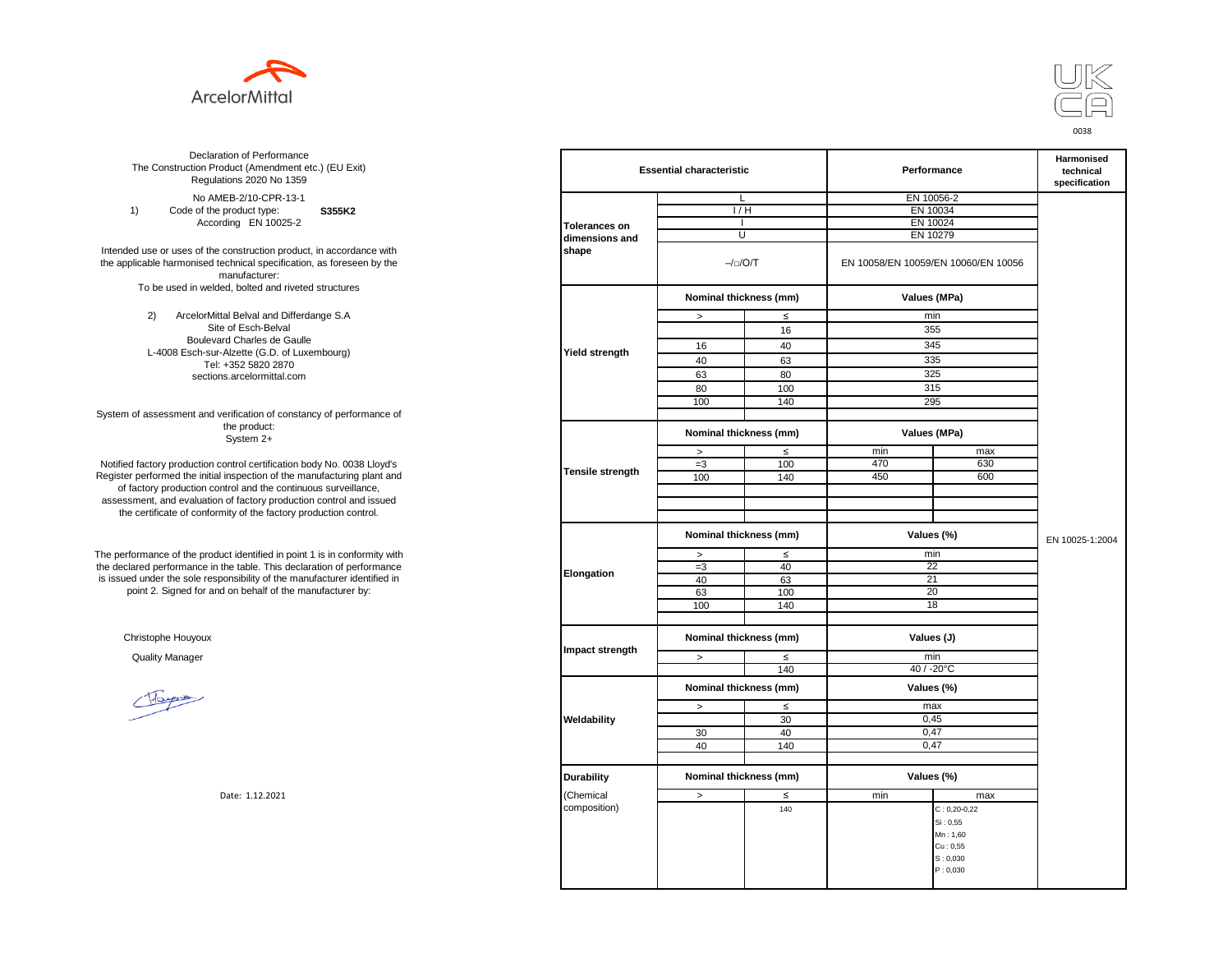



**S355K2**  No AMEB-2/10-CPR-13-1 1) Code of the product type: According EN 10025-2

Intended use or uses of the construction product, in accordance with the applicable harmonised technical specification, as foreseen by the manufacturer: To be used in welded, bolted and riveted structures

> 2) ArcelorMittal Belval and Differdange S.A Site of Esch-Belval Boulevard Charles de Gaulle L-4008 Esch-sur-Alzette (G.D. of Luxembourg) Tel: +352 5820 2870 sections.arcelormittal.com

System of assessment and verification of constancy of performance of the product: System 2+

Notified factory production control certification body No. 0038 Lloyd's Register performed the initial inspection of the manufacturing plant and of factory production control and the continuous surveillance, assessment, and evaluation of factory production control and issued the certificate of conformity of the factory production control.

The performance of the product identified in point 1 is in conformity with the declared performance in the table. This declaration of performance is issued under the sole responsibility of the manufacturer identified in point 2. Signed for and on behalf of the manufacturer by:

Christophe Houyoux

| ation of Performance<br>oduct (Amendment etc.) (EU Exit)<br>ations 2020 No 1359                         |                         |                                      | <b>Essential characteristic</b> |                                     | Performance        |                 |
|---------------------------------------------------------------------------------------------------------|-------------------------|--------------------------------------|---------------------------------|-------------------------------------|--------------------|-----------------|
| IEB-2/10-CPR-13-1                                                                                       |                         | L                                    |                                 |                                     | EN 10056-2         |                 |
| product type:<br>S355K2                                                                                 |                         | 1/H                                  |                                 | EN 10034                            |                    |                 |
| rding EN 10025-2                                                                                        | <b>Tolerances on</b>    | $\mathbf{I}$                         |                                 |                                     | EN 10024           |                 |
|                                                                                                         | dimensions and          | U                                    |                                 | EN 10279                            |                    |                 |
| construction product, in accordance with<br>echnical specification, as foreseen by the<br>manufacturer: | shape                   | $-/-/O/T$                            |                                 | EN 10058/EN 10059/EN 10060/EN 10056 |                    |                 |
| ed, bolted and riveted structures                                                                       |                         | Nominal thickness (mm)               |                                 |                                     | Values (MPa)       |                 |
| tal Belval and Differdange S.A                                                                          |                         | $\, >$                               | $\leq$                          |                                     | min                |                 |
| e of Esch-Belval                                                                                        |                         |                                      | 16                              |                                     | 355                |                 |
| ard Charles de Gaulle                                                                                   |                         |                                      |                                 |                                     | 345                |                 |
| -Alzette (G.D. of Luxembourg)                                                                           | <b>Yield strength</b>   | 16                                   | 40                              |                                     |                    |                 |
| +352 5820 2870                                                                                          |                         | 40                                   | 63                              |                                     | 335                |                 |
| ns.arcelormittal.com                                                                                    |                         | 63                                   | 80                              |                                     | 325                |                 |
|                                                                                                         |                         | 80                                   | 100                             |                                     | 315                |                 |
|                                                                                                         |                         | 100                                  | 140                             |                                     | 295                |                 |
| verification of constancy of performance of                                                             |                         |                                      |                                 |                                     |                    |                 |
| the product:<br>System 2+                                                                               |                         | Nominal thickness (mm)               |                                 |                                     | Values (MPa)       |                 |
|                                                                                                         |                         | $\, >$                               | $\leq$                          | min                                 | max                |                 |
| control certification body No. 0038 Lloyd's                                                             |                         | $=3$                                 | 100                             | 470                                 | 630                |                 |
| inspection of the manufacturing plant and                                                               | <b>Tensile strength</b> | 100                                  | 140                             | 450                                 | 600                |                 |
| ntrol and the continuous surveillance,                                                                  |                         |                                      |                                 |                                     |                    |                 |
| of factory production control and issued                                                                |                         |                                      |                                 |                                     |                    |                 |
| mity of the factory production control.                                                                 |                         |                                      |                                 |                                     |                    |                 |
|                                                                                                         |                         | Nominal thickness (mm)               |                                 |                                     | Values (%)         | EN 10025-1:2004 |
| uct identified in point 1 is in conformity with                                                         |                         | $\, >$                               | $\leq$                          |                                     | min                |                 |
| the table. This declaration of performance                                                              |                         | $=3$                                 | 40                              |                                     | 22                 |                 |
| ponsibility of the manufacturer identified in                                                           | Elongation              | 40                                   | 63                              |                                     | 21                 |                 |
| d on behalf of the manufacturer by:                                                                     |                         | 63                                   | 100                             |                                     | 20                 |                 |
|                                                                                                         |                         | 100                                  | 140                             |                                     | 18                 |                 |
|                                                                                                         |                         |                                      |                                 |                                     |                    |                 |
|                                                                                                         |                         | Nominal thickness (mm)<br>Values (J) |                                 |                                     |                    |                 |
|                                                                                                         | Impact strength         | $\geq$                               | $\leq$                          |                                     | min                |                 |
|                                                                                                         |                         |                                      | 140                             |                                     | 40 / -20°C         |                 |
|                                                                                                         |                         | Nominal thickness (mm)               |                                 |                                     | Values (%)         |                 |
|                                                                                                         |                         | $\,>$                                | $\leq$                          |                                     | max                |                 |
|                                                                                                         | Weldability             |                                      | 30                              |                                     | 0,45               |                 |
|                                                                                                         |                         | 30                                   | 40                              |                                     | 0,47               |                 |
|                                                                                                         |                         | 40                                   | 140                             |                                     | 0,47               |                 |
|                                                                                                         |                         |                                      |                                 |                                     |                    |                 |
|                                                                                                         | <b>Durability</b>       | Nominal thickness (mm)               |                                 |                                     | Values (%)         |                 |
| Date: 1.12.2021                                                                                         | (Chemical               | $\,>$                                | ≤                               | min                                 | max                |                 |
|                                                                                                         | composition)            |                                      | 140                             |                                     | $C: 0, 20 - 0, 22$ |                 |
|                                                                                                         |                         |                                      |                                 |                                     | Si: 0,55           |                 |
|                                                                                                         |                         |                                      |                                 |                                     | Mn: 1,60           |                 |
|                                                                                                         |                         |                                      |                                 |                                     | Cu: 0,55           |                 |
|                                                                                                         |                         |                                      |                                 |                                     | S: 0,030           |                 |
|                                                                                                         |                         |                                      |                                 |                                     | P: 0,030           |                 |
|                                                                                                         |                         |                                      |                                 |                                     |                    |                 |
|                                                                                                         |                         |                                      |                                 |                                     |                    |                 |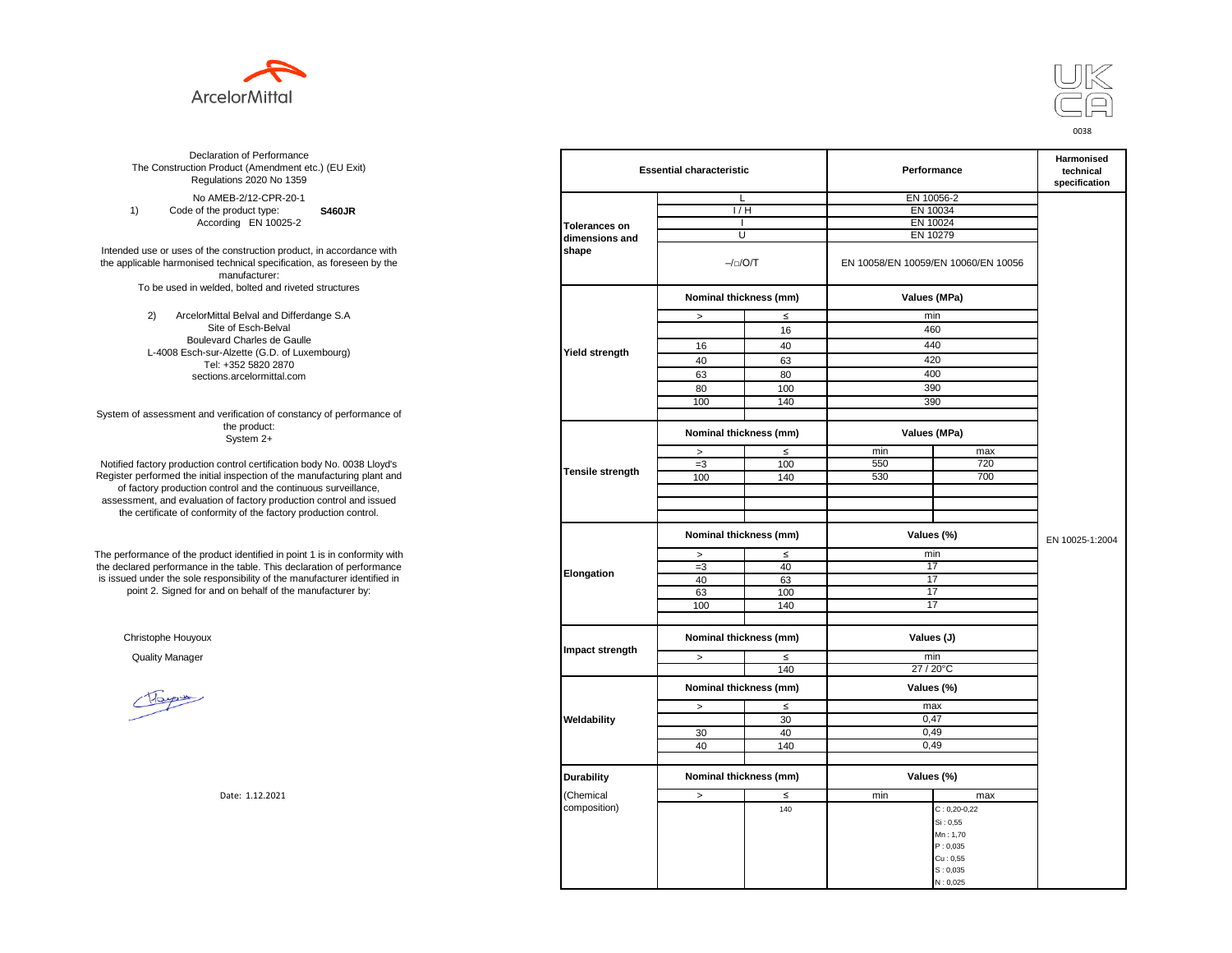



**S460JR** No AMEB-2/12-CPR-20-1 1) Code of the product type: According EN 10025-2

Intended use or uses of the construction product, in accordance with the applicable harmonised technical specification, as foreseen by the manufacturer: To be used in welded, bolted and riveted structures

> 2) ArcelorMittal Belval and Differdange S.A Site of Esch-Belval Boulevard Charles de Gaulle L-4008 Esch-sur-Alzette (G.D. of Luxembourg) Tel: +352 5820 2870 sections.arcelormittal.com

System of assessment and verification of constancy of performance of the product: System 2+

Notified factory production control certification body No. 0038 Lloyd's Register performed the initial inspection of the manufacturing plant and of factory production control and the continuous surveillance, assessment, and evaluation of factory production control and issued the certificate of conformity of the factory production control.

The performance of the product identified in point 1 is in conformity with the declared performance in the table. This declaration of performance is issued under the sole responsibility of the manufacturer identified in point 2. Signed for and on behalf of the manufacturer by:

Christophe Houyoux

| ation of Performance<br>oduct (Amendment etc.) (EU Exit)<br>ations 2020 No 1359                         |                         | <b>Essential characteristic</b>      |           |          | Performance                         |                 |  |
|---------------------------------------------------------------------------------------------------------|-------------------------|--------------------------------------|-----------|----------|-------------------------------------|-----------------|--|
| IEB-2/12-CPR-20-1                                                                                       |                         | L                                    |           |          | EN 10056-2                          |                 |  |
| product type:<br><b>S460JR</b>                                                                          |                         | 1/H                                  |           | EN 10034 |                                     |                 |  |
| rding EN 10025-2                                                                                        | <b>Tolerances on</b>    | $\mathbf{I}$                         |           | EN 10024 |                                     |                 |  |
|                                                                                                         | dimensions and          | U                                    |           | EN 10279 |                                     |                 |  |
| construction product, in accordance with<br>echnical specification, as foreseen by the<br>manufacturer: | shape                   |                                      | $-/-/O/T$ |          | EN 10058/EN 10059/EN 10060/EN 10056 |                 |  |
| ed, bolted and riveted structures                                                                       |                         | Nominal thickness (mm)               |           |          | Values (MPa)                        |                 |  |
| tal Belval and Differdange S.A                                                                          |                         | $\, >$                               | $\leq$    |          | min                                 |                 |  |
| e of Esch-Belval                                                                                        |                         |                                      | 16        |          | 460                                 |                 |  |
| ard Charles de Gaulle                                                                                   |                         | 16                                   | 40        |          | 440                                 |                 |  |
| -Alzette (G.D. of Luxembourg)                                                                           | <b>Yield strength</b>   |                                      |           |          |                                     |                 |  |
| +352 5820 2870                                                                                          |                         | 40                                   | 63        |          | 420                                 |                 |  |
| ns.arcelormittal.com                                                                                    |                         | 63                                   | 80        |          | 400                                 |                 |  |
|                                                                                                         |                         | 80                                   | 100       |          | 390                                 |                 |  |
|                                                                                                         |                         | 100                                  | 140       |          | 390                                 |                 |  |
| verification of constancy of performance of                                                             |                         |                                      |           |          |                                     |                 |  |
| the product:<br>System 2+                                                                               |                         | Nominal thickness (mm)               |           |          | Values (MPa)                        |                 |  |
|                                                                                                         |                         | $\, >$                               | $\leq$    | min      | max                                 |                 |  |
| control certification body No. 0038 Lloyd's                                                             |                         | $=3$                                 | 100       | 550      | 720                                 |                 |  |
| inspection of the manufacturing plant and                                                               | <b>Tensile strength</b> | 100                                  | 140       | 530      | 700                                 |                 |  |
| ntrol and the continuous surveillance,                                                                  |                         |                                      |           |          |                                     |                 |  |
| of factory production control and issued                                                                |                         |                                      |           |          |                                     |                 |  |
| mity of the factory production control.                                                                 |                         |                                      |           |          |                                     |                 |  |
|                                                                                                         |                         | Nominal thickness (mm)               |           |          | Values (%)                          | EN 10025-1:2004 |  |
| uct identified in point 1 is in conformity with                                                         |                         | $\, >$                               | $\leq$    |          | min                                 |                 |  |
| the table. This declaration of performance                                                              |                         | $=3$                                 | 40        |          | 17                                  |                 |  |
| ponsibility of the manufacturer identified in                                                           | Elongation              | 40                                   | 63        |          | 17                                  |                 |  |
| d on behalf of the manufacturer by:                                                                     |                         | 63                                   | 100       |          | 17                                  |                 |  |
|                                                                                                         |                         | 100                                  | 140       |          | 17                                  |                 |  |
|                                                                                                         |                         |                                      |           |          |                                     |                 |  |
|                                                                                                         |                         | Nominal thickness (mm)<br>Values (J) |           |          |                                     |                 |  |
|                                                                                                         | Impact strength         | $\geq$                               | $\leq$    |          | min                                 |                 |  |
|                                                                                                         |                         |                                      | 140       |          | 27 / 20°C                           |                 |  |
|                                                                                                         |                         | Nominal thickness (mm)               |           |          | Values (%)                          |                 |  |
|                                                                                                         |                         | $\,>$                                | $\leq$    |          | max                                 |                 |  |
|                                                                                                         | Weldability             |                                      | 30        |          | 0,47                                |                 |  |
|                                                                                                         |                         | 30                                   | 40        |          | 0,49                                |                 |  |
|                                                                                                         |                         | 40                                   | 140       |          | 0,49                                |                 |  |
|                                                                                                         |                         |                                      |           |          |                                     |                 |  |
|                                                                                                         | <b>Durability</b>       | Nominal thickness (mm)               |           |          | Values (%)                          |                 |  |
| Date: 1.12.2021                                                                                         | (Chemical               | $\,>$                                | ≤         | min      | max                                 |                 |  |
|                                                                                                         | composition)            |                                      | 140       |          | $C: 0, 20 - 0, 22$                  |                 |  |
|                                                                                                         |                         |                                      |           |          | Si: 0,55                            |                 |  |
|                                                                                                         |                         |                                      |           |          | Mn: 1,70                            |                 |  |
|                                                                                                         |                         |                                      |           |          | P: 0,035                            |                 |  |
|                                                                                                         |                         |                                      |           |          | Cu: 0.55                            |                 |  |
|                                                                                                         |                         |                                      |           |          | S: 0,035                            |                 |  |
|                                                                                                         |                         |                                      |           |          | N: 0,025                            |                 |  |
|                                                                                                         |                         |                                      |           |          |                                     |                 |  |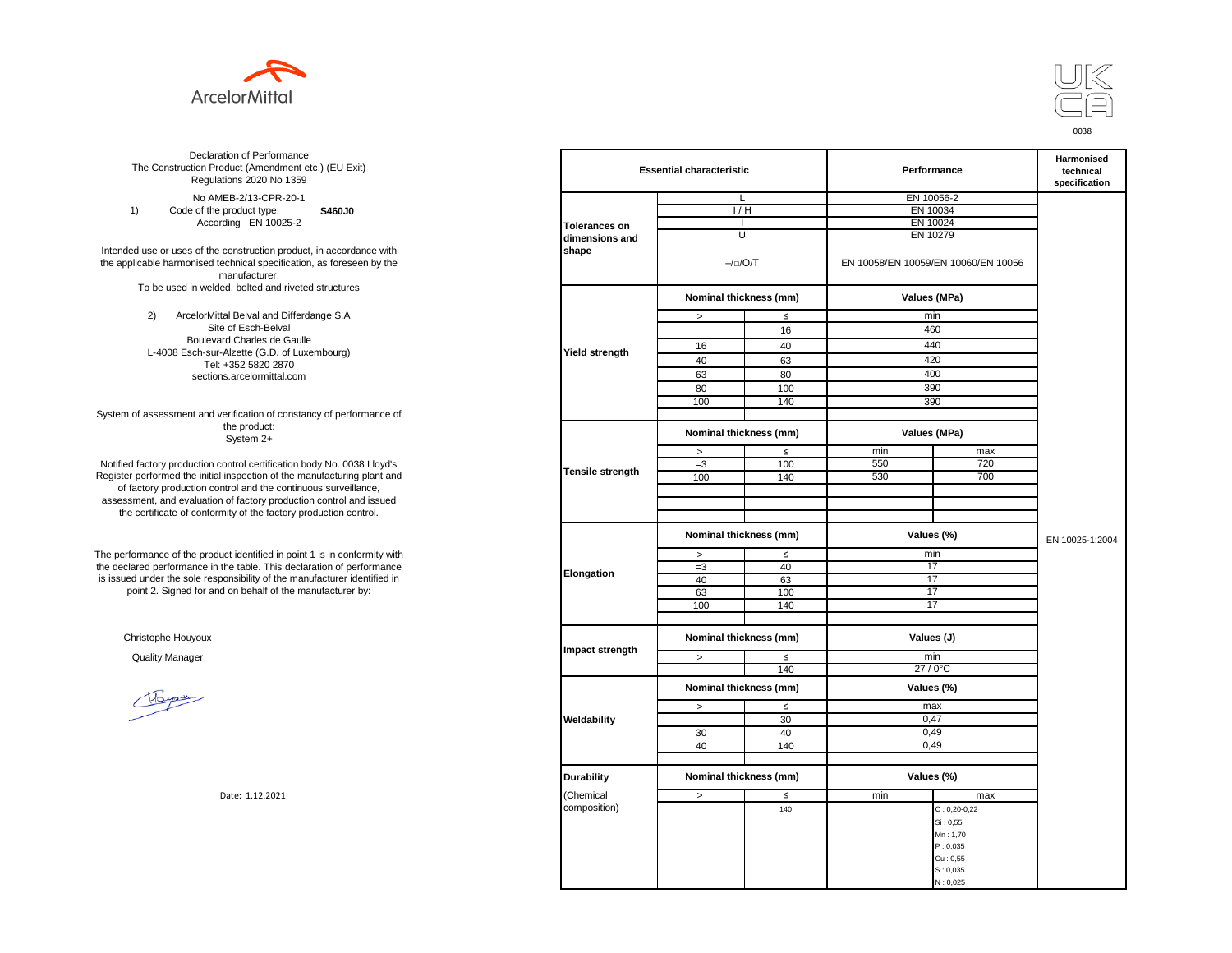



**S460J0** No AMEB-2/13-CPR-20-1 1) Code of the product type: According EN 10025-2

Intended use or uses of the construction product, in accordance with the applicable harmonised technical specification, as foreseen by the manufacturer: To be used in welded, bolted and riveted structures

> 2) ArcelorMittal Belval and Differdange S.A Site of Esch-Belval Boulevard Charles de Gaulle L-4008 Esch-sur-Alzette (G.D. of Luxembourg) Tel: +352 5820 2870 sections.arcelormittal.com

System of assessment and verification of constancy of performance of the product: System 2+

Notified factory production control certification body No. 0038 Lloyd's Register performed the initial inspection of the manufacturing plant and of factory production control and the continuous surveillance, assessment, and evaluation of factory production control and issued the certificate of conformity of the factory production control.

The performance of the product identified in point 1 is in conformity with the declared performance in the table. This declaration of performance is issued under the sole responsibility of the manufacturer identified in point 2. Signed for and on behalf of the manufacturer by:

Christophe Houyoux

| ation of Performance<br>oduct (Amendment etc.) (EU Exit)<br>ations 2020 No 1359                         |                         | <b>Essential characteristic</b>      |        |                                     | Performance        |                 |  |
|---------------------------------------------------------------------------------------------------------|-------------------------|--------------------------------------|--------|-------------------------------------|--------------------|-----------------|--|
| IEB-2/13-CPR-20-1                                                                                       |                         | L                                    |        |                                     | EN 10056-2         |                 |  |
| product type:<br>S460J0                                                                                 |                         | 1/H                                  |        | EN 10034                            |                    |                 |  |
| rding EN 10025-2                                                                                        | <b>Tolerances on</b>    | $\mathbf{I}$                         |        | EN 10024                            |                    |                 |  |
|                                                                                                         | dimensions and          | U                                    |        | EN 10279                            |                    |                 |  |
| construction product, in accordance with<br>echnical specification, as foreseen by the<br>manufacturer: | shape                   | $-/-/O/T$                            |        | EN 10058/EN 10059/EN 10060/EN 10056 |                    |                 |  |
| ed, bolted and riveted structures                                                                       |                         | Nominal thickness (mm)               |        |                                     | Values (MPa)       |                 |  |
| tal Belval and Differdange S.A                                                                          |                         | $\, >$                               | $\leq$ |                                     | min                |                 |  |
| e of Esch-Belval                                                                                        |                         |                                      | 16     |                                     | 460                |                 |  |
| ard Charles de Gaulle                                                                                   |                         | 16                                   | 40     |                                     | 440                |                 |  |
| -Alzette (G.D. of Luxembourg)                                                                           | <b>Yield strength</b>   |                                      |        |                                     |                    |                 |  |
| +352 5820 2870                                                                                          |                         | 40                                   | 63     |                                     | 420                |                 |  |
| ns.arcelormittal.com                                                                                    |                         | 63                                   | 80     |                                     | 400                |                 |  |
|                                                                                                         |                         | 80                                   | 100    |                                     | 390                |                 |  |
|                                                                                                         |                         | 100                                  | 140    |                                     | 390                |                 |  |
| verification of constancy of performance of                                                             |                         |                                      |        |                                     |                    |                 |  |
| the product:<br>System 2+                                                                               |                         | Nominal thickness (mm)               |        |                                     | Values (MPa)       |                 |  |
|                                                                                                         |                         | $\, >$                               | $\leq$ | min                                 | max                |                 |  |
| control certification body No. 0038 Lloyd's                                                             |                         | $=3$                                 | 100    | 550                                 | 720                |                 |  |
| inspection of the manufacturing plant and                                                               | <b>Tensile strength</b> | 100                                  | 140    | 530                                 | 700                |                 |  |
| ntrol and the continuous surveillance,                                                                  |                         |                                      |        |                                     |                    |                 |  |
| of factory production control and issued                                                                |                         |                                      |        |                                     |                    |                 |  |
| mity of the factory production control.                                                                 |                         |                                      |        |                                     |                    |                 |  |
|                                                                                                         |                         | Nominal thickness (mm)               |        |                                     | Values (%)         | EN 10025-1:2004 |  |
| uct identified in point 1 is in conformity with                                                         |                         | $\, >$                               | $\leq$ |                                     | min                |                 |  |
| the table. This declaration of performance                                                              |                         | $=3$                                 | 40     |                                     | 17                 |                 |  |
| ponsibility of the manufacturer identified in                                                           | Elongation              | 40                                   | 63     |                                     | 17                 |                 |  |
| d on behalf of the manufacturer by:                                                                     |                         | 63                                   | 100    |                                     | 17                 |                 |  |
|                                                                                                         |                         | 100                                  | 140    |                                     | 17                 |                 |  |
|                                                                                                         |                         |                                      |        |                                     |                    |                 |  |
|                                                                                                         |                         | Nominal thickness (mm)<br>Values (J) |        |                                     |                    |                 |  |
|                                                                                                         | Impact strength         | $\geq$                               | $\leq$ |                                     | min                |                 |  |
|                                                                                                         |                         |                                      | 140    |                                     | 27 / 0°C           |                 |  |
|                                                                                                         |                         | Nominal thickness (mm)               |        |                                     | Values (%)         |                 |  |
|                                                                                                         |                         | $\,>$                                | $\leq$ |                                     | max                |                 |  |
|                                                                                                         | Weldability             |                                      | 30     |                                     | 0,47               |                 |  |
|                                                                                                         |                         | 30                                   | 40     |                                     | 0,49               |                 |  |
|                                                                                                         |                         | 40                                   | 140    |                                     | 0,49               |                 |  |
|                                                                                                         |                         |                                      |        |                                     |                    |                 |  |
|                                                                                                         | <b>Durability</b>       | Nominal thickness (mm)               |        |                                     | Values (%)         |                 |  |
| Date: 1.12.2021                                                                                         | (Chemical               | $\,>$                                | ≤      | min                                 | max                |                 |  |
|                                                                                                         | composition)            |                                      | 140    |                                     | $C: 0, 20 - 0, 22$ |                 |  |
|                                                                                                         |                         |                                      |        |                                     | Si: 0,55           |                 |  |
|                                                                                                         |                         |                                      |        |                                     | Mn: 1,70           |                 |  |
|                                                                                                         |                         |                                      |        |                                     | P: 0,035           |                 |  |
|                                                                                                         |                         |                                      |        |                                     | Cu: 0.55           |                 |  |
|                                                                                                         |                         |                                      |        |                                     | S: 0,035           |                 |  |
|                                                                                                         |                         |                                      |        |                                     | N: 0,025           |                 |  |
|                                                                                                         |                         |                                      |        |                                     |                    |                 |  |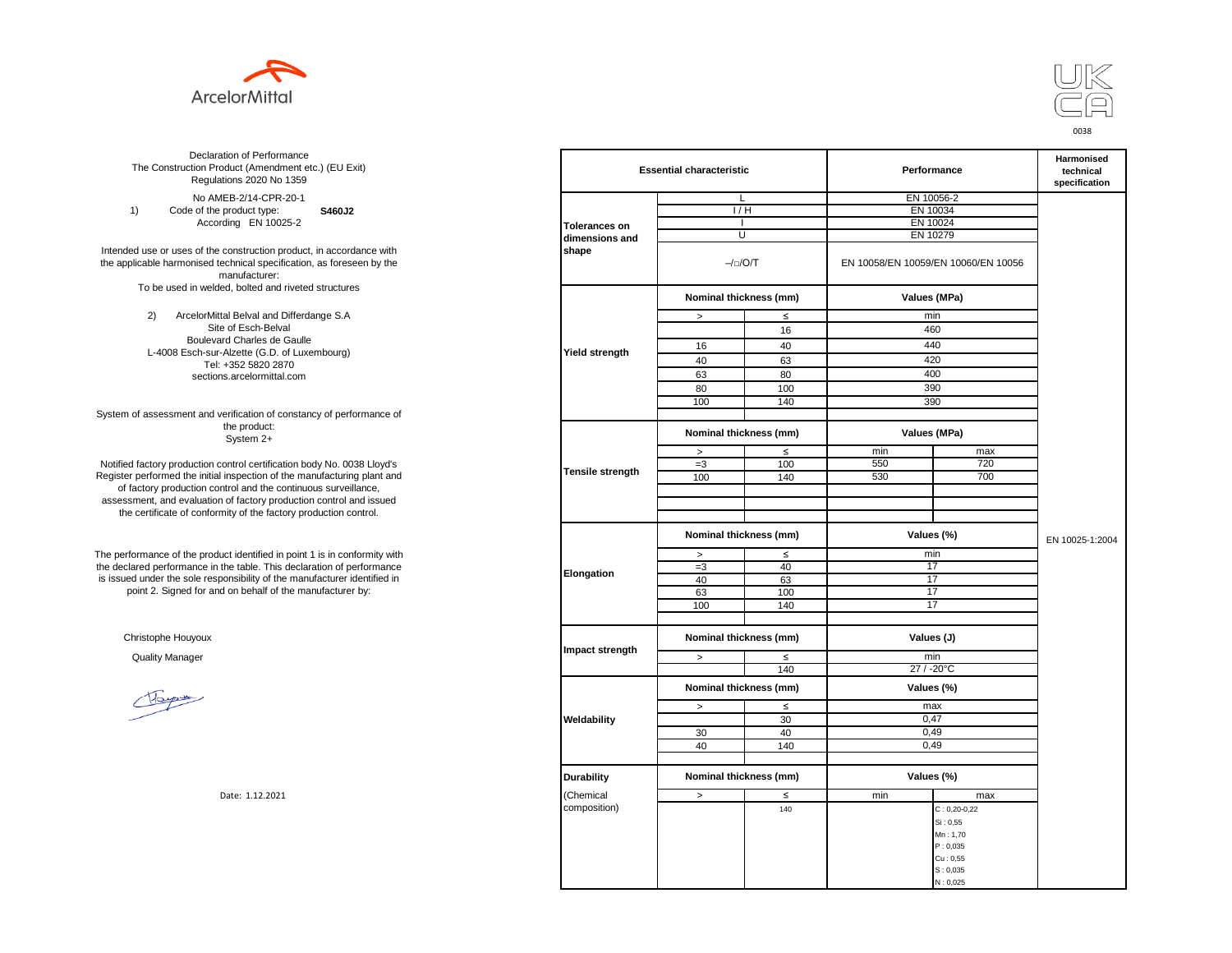



**S460J2** No AMEB-2/14-CPR-20-1 1) Code of the product type: According EN 10025-2

Intended use or uses of the construction product, in accordance with the applicable harmonised technical specification, as foreseen by the manufacturer: To be used in welded, bolted and riveted structures

> 2) ArcelorMittal Belval and Differdange S.A Site of Esch-Belval Boulevard Charles de Gaulle L-4008 Esch-sur-Alzette (G.D. of Luxembourg) Tel: +352 5820 2870 sections.arcelormittal.com

System of assessment and verification of constancy of performance of the product: System 2+

Notified factory production control certification body No. 0038 Lloyd's Register performed the initial inspection of the manufacturing plant and of factory production control and the continuous surveillance, assessment, and evaluation of factory production control and issued the certificate of conformity of the factory production control.

The performance of the product identified in point 1 is in conformity with the declared performance in the table. This declaration of performance is issued under the sole responsibility of the manufacturer identified in point 2. Signed for and on behalf of the manufacturer by:

Christophe Houyoux

| ation of Performance<br>oduct (Amendment etc.) (EU Exit)<br>ations 2020 No 1359                         |                         | <b>Essential characteristic</b> |        |            | Performance                         |                 |  |
|---------------------------------------------------------------------------------------------------------|-------------------------|---------------------------------|--------|------------|-------------------------------------|-----------------|--|
| IEB-2/14-CPR-20-1                                                                                       |                         | L                               |        | EN 10056-2 |                                     |                 |  |
| product type:<br>S460J2                                                                                 |                         | 1/H                             |        |            | EN 10034                            |                 |  |
| rding EN 10025-2                                                                                        | <b>Tolerances on</b>    | $\mathbf{I}$                    |        |            | EN 10024                            |                 |  |
|                                                                                                         | dimensions and          | U                               |        |            | EN 10279                            |                 |  |
| construction product, in accordance with<br>echnical specification, as foreseen by the<br>manufacturer: | shape                   | $-/-/O/T$                       |        |            | EN 10058/EN 10059/EN 10060/EN 10056 |                 |  |
| ed, bolted and riveted structures                                                                       |                         | Nominal thickness (mm)          |        |            | Values (MPa)                        |                 |  |
| tal Belval and Differdange S.A                                                                          |                         | $\, >$                          | $\leq$ |            | min                                 |                 |  |
| e of Esch-Belval                                                                                        |                         |                                 | 16     |            | 460                                 |                 |  |
| ard Charles de Gaulle                                                                                   |                         | 16                              | 40     |            | 440                                 |                 |  |
| -Alzette (G.D. of Luxembourg)                                                                           | <b>Yield strength</b>   |                                 |        |            |                                     |                 |  |
| +352 5820 2870                                                                                          |                         | 40                              | 63     |            | 420                                 |                 |  |
| ns.arcelormittal.com                                                                                    |                         | 63                              | 80     |            | 400                                 |                 |  |
|                                                                                                         |                         | 80                              | 100    |            | 390                                 |                 |  |
|                                                                                                         |                         | 100                             | 140    |            | 390                                 |                 |  |
| verification of constancy of performance of                                                             |                         |                                 |        |            |                                     |                 |  |
| the product:<br>System 2+                                                                               |                         | Nominal thickness (mm)          |        |            | Values (MPa)                        |                 |  |
|                                                                                                         |                         | $\, >$                          | $\leq$ | min        | max                                 |                 |  |
| control certification body No. 0038 Lloyd's                                                             |                         | $=3$                            | 100    | 550        | 720                                 |                 |  |
| inspection of the manufacturing plant and                                                               | <b>Tensile strength</b> | 100                             | 140    | 530        | 700                                 |                 |  |
| ntrol and the continuous surveillance,                                                                  |                         |                                 |        |            |                                     |                 |  |
| of factory production control and issued                                                                |                         |                                 |        |            |                                     |                 |  |
| mity of the factory production control.                                                                 |                         |                                 |        |            |                                     |                 |  |
|                                                                                                         |                         | Nominal thickness (mm)          |        |            | Values (%)                          | EN 10025-1:2004 |  |
| uct identified in point 1 is in conformity with                                                         |                         | $\, >$                          | $\leq$ |            | min                                 |                 |  |
| the table. This declaration of performance                                                              |                         | $=3$                            | 40     |            | 17                                  |                 |  |
| ponsibility of the manufacturer identified in                                                           | Elongation              | 40                              | 63     |            | 17                                  |                 |  |
| d on behalf of the manufacturer by:                                                                     |                         | 63                              | 100    |            | 17                                  |                 |  |
|                                                                                                         |                         | 100                             | 140    |            | 17                                  |                 |  |
|                                                                                                         |                         |                                 |        |            |                                     |                 |  |
|                                                                                                         |                         | Nominal thickness (mm)          |        | Values (J) |                                     |                 |  |
|                                                                                                         | Impact strength         | $\geq$                          | $\leq$ |            | min                                 |                 |  |
|                                                                                                         |                         |                                 | 140    |            | 27 / -20°C                          |                 |  |
|                                                                                                         |                         | Nominal thickness (mm)          |        |            | Values (%)                          |                 |  |
|                                                                                                         |                         | $\,>$                           | $\leq$ |            | max                                 |                 |  |
|                                                                                                         | Weldability             |                                 | 30     |            | 0,47                                |                 |  |
|                                                                                                         |                         | 30                              | 40     |            | 0,49                                |                 |  |
|                                                                                                         |                         | 40                              | 140    |            | 0,49                                |                 |  |
|                                                                                                         |                         |                                 |        |            |                                     |                 |  |
|                                                                                                         | <b>Durability</b>       | Nominal thickness (mm)          |        |            | Values (%)                          |                 |  |
| Date: 1.12.2021                                                                                         | (Chemical               | $\,>$                           | ≤      | min        | max                                 |                 |  |
|                                                                                                         | composition)            |                                 | 140    |            | $C: 0, 20 - 0, 22$                  |                 |  |
|                                                                                                         |                         |                                 |        |            | Si: 0,55                            |                 |  |
|                                                                                                         |                         |                                 |        |            | Mn: 1,70                            |                 |  |
|                                                                                                         |                         |                                 |        |            | P: 0,035                            |                 |  |
|                                                                                                         |                         |                                 |        |            | Cu: 0.55                            |                 |  |
|                                                                                                         |                         |                                 |        |            | S: 0,035                            |                 |  |
|                                                                                                         |                         |                                 |        |            | N: 0,025                            |                 |  |
|                                                                                                         |                         |                                 |        |            |                                     |                 |  |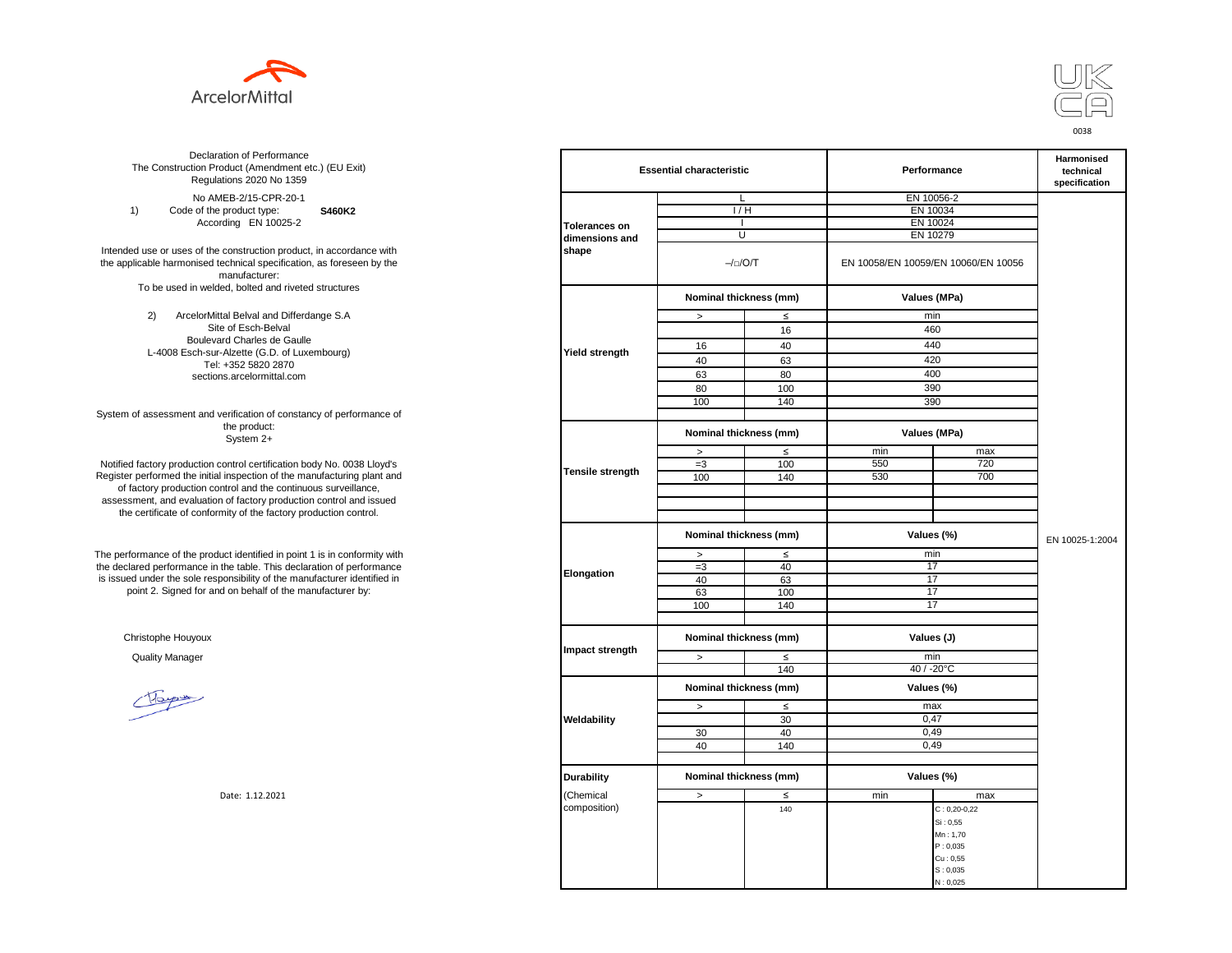



**S460K2** No AMEB-2/15-CPR-20-1 1) Code of the product type: According EN 10025-2

Intended use or uses of the construction product, in accordance with the applicable harmonised technical specification, as foreseen by the manufacturer: To be used in welded, bolted and riveted structures

> 2) ArcelorMittal Belval and Differdange S.A Site of Esch-Belval Boulevard Charles de Gaulle L-4008 Esch-sur-Alzette (G.D. of Luxembourg) Tel: +352 5820 2870 sections.arcelormittal.com

System of assessment and verification of constancy of performance of the product: System 2+

Notified factory production control certification body No. 0038 Lloyd's Register performed the initial inspection of the manufacturing plant and of factory production control and the continuous surveillance, assessment, and evaluation of factory production control and issued the certificate of conformity of the factory production control.

The performance of the product identified in point 1 is in conformity with the declared performance in the table. This declaration of performance is issued under the sole responsibility of the manufacturer identified in point 2. Signed for and on behalf of the manufacturer by:

Christophe Houyoux

| ation of Performance<br>oduct (Amendment etc.) (EU Exit)<br>ations 2020 No 1359                         |                         | <b>Essential characteristic</b> |                       | Performance | Harmonised<br>technical<br>specification |                 |  |
|---------------------------------------------------------------------------------------------------------|-------------------------|---------------------------------|-----------------------|-------------|------------------------------------------|-----------------|--|
| IEB-2/15-CPR-20-1                                                                                       |                         | L                               |                       | EN 10056-2  |                                          |                 |  |
| product type:<br>S460K2                                                                                 |                         | 1/H                             |                       |             | EN 10034                                 |                 |  |
| rding EN 10025-2                                                                                        | <b>Tolerances on</b>    |                                 |                       |             | EN 10024                                 |                 |  |
|                                                                                                         | dimensions and          | U                               |                       |             | EN 10279                                 |                 |  |
| construction product, in accordance with<br>echnical specification, as foreseen by the<br>manufacturer: | shape                   |                                 | $-/-/O/T$             |             | EN 10058/EN 10059/EN 10060/EN 10056      |                 |  |
| ed, bolted and riveted structures                                                                       |                         | Nominal thickness (mm)          |                       |             | Values (MPa)                             |                 |  |
| tal Belval and Differdange S.A                                                                          |                         | $\geq$                          | $\leq$                |             | min                                      |                 |  |
| e of Esch-Belval                                                                                        |                         |                                 | 16                    |             | 460                                      |                 |  |
| ard Charles de Gaulle                                                                                   |                         | 16                              | 40                    |             | 440                                      |                 |  |
| -Alzette (G.D. of Luxembourg)                                                                           | <b>Yield strength</b>   | 40                              |                       |             | 420                                      |                 |  |
| +352 5820 2870                                                                                          |                         |                                 | 63                    |             |                                          |                 |  |
| ns.arcelormittal.com                                                                                    |                         | 63                              | 80                    |             | 400                                      |                 |  |
|                                                                                                         |                         | 80                              | 100                   |             | 390                                      |                 |  |
|                                                                                                         |                         | 100                             | 140                   |             | 390                                      |                 |  |
| verification of constancy of performance of<br>the product:<br>System 2+                                |                         | Nominal thickness (mm)          |                       |             | Values (MPa)                             |                 |  |
|                                                                                                         |                         |                                 | $\leq$                | min         | max                                      |                 |  |
| control certification body No. 0038 Lloyd's                                                             |                         | $\, >$<br>$=3$                  | 100                   | 550         | 720                                      |                 |  |
| inspection of the manufacturing plant and                                                               | <b>Tensile strength</b> | 100                             | 140                   | 530         | 700                                      |                 |  |
| ntrol and the continuous surveillance,                                                                  |                         |                                 |                       |             |                                          |                 |  |
| of factory production control and issued                                                                |                         |                                 |                       |             |                                          |                 |  |
| mity of the factory production control.                                                                 |                         |                                 |                       |             |                                          |                 |  |
|                                                                                                         |                         |                                 |                       |             |                                          |                 |  |
|                                                                                                         |                         | Nominal thickness (mm)          |                       |             | Values (%)                               | EN 10025-1:2004 |  |
| uct identified in point 1 is in conformity with                                                         |                         |                                 | $\leq$<br>min<br>$\,$ |             |                                          |                 |  |
| the table. This declaration of performance                                                              |                         | $=3$                            | 40                    | 17          |                                          |                 |  |
| ponsibility of the manufacturer identified in                                                           | Elongation              | 40                              | 63                    |             | 17                                       |                 |  |
| d on behalf of the manufacturer by:                                                                     |                         | 63                              | 100                   |             | 17                                       |                 |  |
|                                                                                                         |                         | 100                             | 140                   |             | 17                                       |                 |  |
|                                                                                                         |                         |                                 |                       |             |                                          |                 |  |
|                                                                                                         |                         | Nominal thickness (mm)          |                       | Values (J)  |                                          |                 |  |
|                                                                                                         | Impact strength         | $\, >$                          | $\leq$                |             | min                                      |                 |  |
|                                                                                                         |                         |                                 | 140                   |             | 40 / -20°C                               |                 |  |
|                                                                                                         |                         | Nominal thickness (mm)          |                       |             | Values (%)                               |                 |  |
|                                                                                                         |                         | $\,>$                           | $\leq$                |             | max                                      |                 |  |
|                                                                                                         | Weldability             |                                 | 30                    |             | 0,47                                     |                 |  |
|                                                                                                         |                         | 30                              | 40                    |             | 0,49                                     |                 |  |
|                                                                                                         |                         | 40                              | 140                   |             | 0,49                                     |                 |  |
|                                                                                                         |                         |                                 |                       |             |                                          |                 |  |
|                                                                                                         | <b>Durability</b>       | Nominal thickness (mm)          |                       |             | Values (%)                               |                 |  |
| Date: 1.12.2021                                                                                         | (Chemical               | $\, >$                          | $\leq$                | min         | max                                      |                 |  |
|                                                                                                         | composition)            |                                 | 140                   |             | $C: 0, 20 - 0, 22$                       |                 |  |
|                                                                                                         |                         |                                 |                       |             | Si: 0,55                                 |                 |  |
|                                                                                                         |                         |                                 |                       |             | Mn: 1,70                                 |                 |  |
|                                                                                                         |                         |                                 |                       |             | P: 0,035                                 |                 |  |
|                                                                                                         |                         |                                 |                       |             | Cu: 0,55                                 |                 |  |
|                                                                                                         |                         |                                 |                       |             | S: 0,035                                 |                 |  |
|                                                                                                         |                         |                                 |                       |             | N: 0,025                                 |                 |  |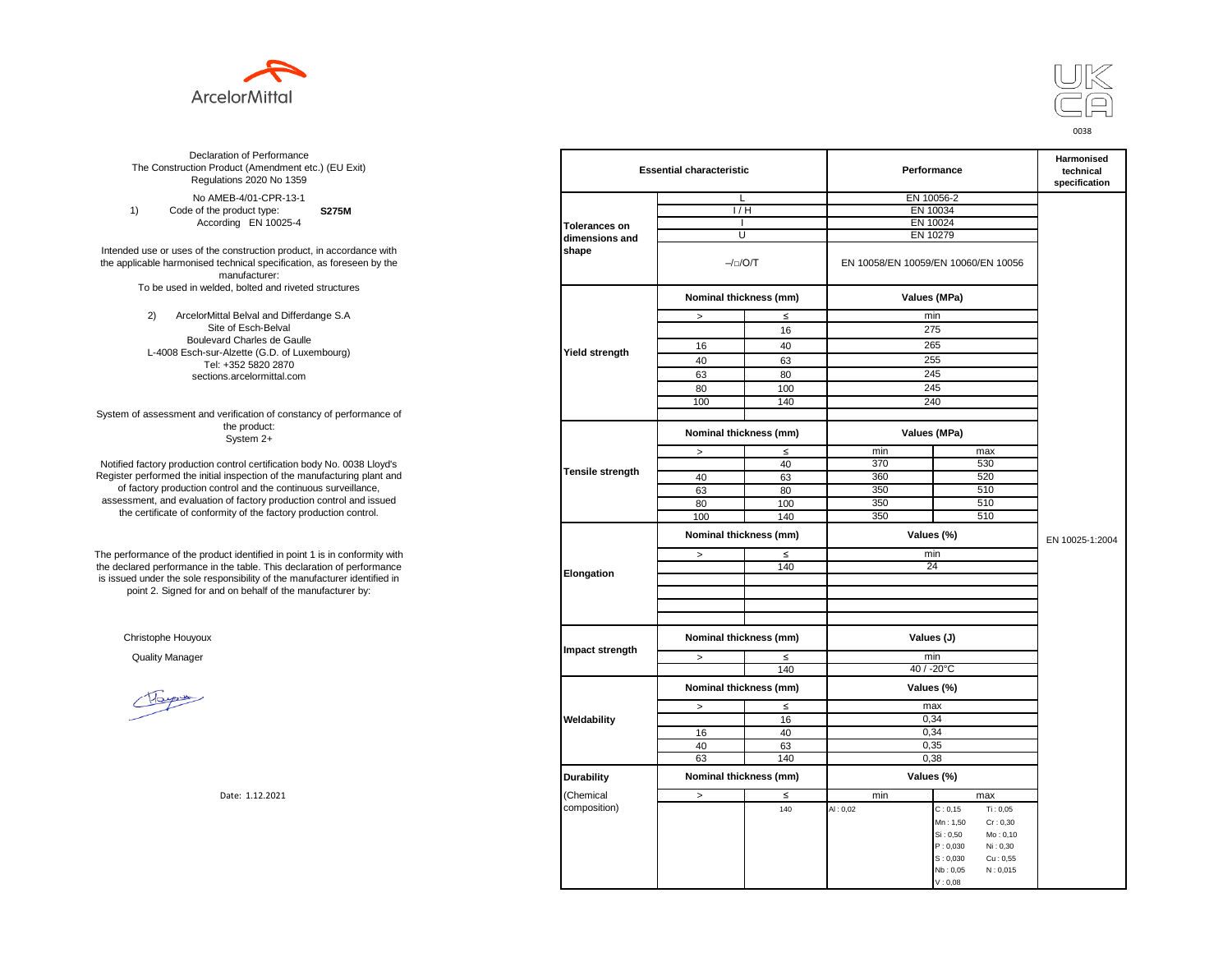



**S275M**  No AMEB-4/01-CPR-13-1 1) Code of the product type: According EN 10025-4

Intended use or uses of the construction product, in accordance with the applicable harmonised technical specification, as foreseen by the manufacturer: To be used in welded, bolted and riveted structures

> 2) ArcelorMittal Belval and Differdange S.A Site of Esch-Belval Boulevard Charles de Gaulle L-4008 Esch-sur-Alzette (G.D. of Luxembourg) Tel: +352 5820 2870 sections.arcelormittal.com

System of assessment and verification of constancy of performance of the product: System 2+

Notified factory production control certification body No. 0038 Lloyd's Register performed the initial inspection of the manufacturing plant and of factory production control and the continuous surveillance, assessment, and evaluation of factory production control and issued the certificate of conformity of the factory production control.

The performance of the product identified in point 1 is in conformity with the declared performance in the table. This declaration of performance is issued under the sole responsibility of the manufacturer identified in point 2. Signed for and on behalf of the manufacturer by:

Christophe Houyoux

| ation of Performance<br>oduct (Amendment etc.) (EU Exit)<br>ations 2020 No 1359                         |                         | <b>Essential characteristic</b> |        |            | Performance                                  |                 |  |
|---------------------------------------------------------------------------------------------------------|-------------------------|---------------------------------|--------|------------|----------------------------------------------|-----------------|--|
| IEB-4/01-CPR-13-1                                                                                       |                         | L                               |        | EN 10056-2 |                                              |                 |  |
| product type:<br><b>S275M</b>                                                                           |                         | 1/H                             |        |            | EN 10034                                     |                 |  |
| rding EN 10025-4                                                                                        | <b>Tolerances on</b>    | $\mathbf{I}$                    |        |            | EN 10024                                     |                 |  |
|                                                                                                         | dimensions and          | U                               |        |            | EN 10279                                     |                 |  |
| construction product, in accordance with<br>echnical specification, as foreseen by the<br>manufacturer: | shape                   | $-/-/O/T$                       |        |            | EN 10058/EN 10059/EN 10060/EN 10056          |                 |  |
| ed, bolted and riveted structures                                                                       |                         | Nominal thickness (mm)          |        |            | Values (MPa)                                 |                 |  |
| tal Belval and Differdange S.A                                                                          |                         | $\, >$                          | ≤      |            | min                                          |                 |  |
| e of Esch-Belval                                                                                        |                         |                                 | 16     |            | 275                                          |                 |  |
| ard Charles de Gaulle                                                                                   |                         |                                 |        |            |                                              |                 |  |
| -Alzette (G.D. of Luxembourg)                                                                           | <b>Yield strength</b>   | 16                              | 40     |            | 265                                          |                 |  |
| +352 5820 2870                                                                                          |                         | 40                              | 63     |            | 255                                          |                 |  |
| ns.arcelormittal.com                                                                                    |                         | 63                              | 80     |            | 245                                          |                 |  |
|                                                                                                         |                         | 80                              | 100    |            | 245                                          |                 |  |
|                                                                                                         |                         | 100                             | 140    |            | 240                                          |                 |  |
| verification of constancy of performance of                                                             |                         |                                 |        |            |                                              |                 |  |
| the product:<br>System 2+                                                                               |                         | Nominal thickness (mm)          |        |            | Values (MPa)                                 |                 |  |
|                                                                                                         |                         | $\, >$                          | $\leq$ | min        | max                                          |                 |  |
| control certification body No. 0038 Lloyd's                                                             |                         |                                 | 40     | 370        | 530                                          |                 |  |
| inspection of the manufacturing plant and                                                               | <b>Tensile strength</b> | 40                              | 63     | 360        | 520                                          |                 |  |
| ntrol and the continuous surveillance,                                                                  |                         | 63                              | 80     | 350        | 510                                          |                 |  |
| of factory production control and issued                                                                |                         | 80                              | 100    | 350        | 510                                          |                 |  |
| mity of the factory production control.                                                                 |                         | 100                             | 140    | 350        | 510                                          |                 |  |
|                                                                                                         |                         | Nominal thickness (mm)          |        | Values (%) |                                              | EN 10025-1:2004 |  |
| uct identified in point 1 is in conformity with                                                         |                         | $\, >$                          | $\leq$ | min        |                                              |                 |  |
| the table. This declaration of performance<br>ponsibility of the manufacturer identified in             | Elongation              |                                 | 140    | 24         |                                              |                 |  |
| d on behalf of the manufacturer by:                                                                     |                         |                                 |        |            |                                              |                 |  |
|                                                                                                         |                         |                                 |        |            |                                              |                 |  |
|                                                                                                         | Impact strength         | Nominal thickness (mm)          |        | Values (J) |                                              |                 |  |
|                                                                                                         |                         | $\, >$                          | $\leq$ |            | min                                          |                 |  |
|                                                                                                         |                         |                                 | 140    |            | 40 / -20°C                                   |                 |  |
|                                                                                                         |                         | Nominal thickness (mm)          |        |            | Values (%)                                   |                 |  |
|                                                                                                         |                         | $\,>$                           | ≤      |            | max                                          |                 |  |
|                                                                                                         | Weldability             |                                 | 16     |            | 0,34                                         |                 |  |
|                                                                                                         |                         | 16                              | 40     |            | 0,34                                         |                 |  |
|                                                                                                         |                         | 40                              | 63     |            | 0,35                                         |                 |  |
|                                                                                                         |                         | 63                              | 140    |            | 0,38                                         |                 |  |
|                                                                                                         | <b>Durability</b>       | Nominal thickness (mm)          |        |            | Values (%)                                   |                 |  |
| Date: 1.12.2021                                                                                         | (Chemical               | $\,>$                           | $\leq$ | min        | max                                          |                 |  |
|                                                                                                         | composition)            |                                 | 140    | AI: 0,02   | C: 0, 15<br>Ti: 0,05                         |                 |  |
|                                                                                                         |                         |                                 |        |            | Mn: 1,50<br>Cr: 0,30                         |                 |  |
|                                                                                                         |                         |                                 |        |            | Si: 0.50<br>Mo: 0,10                         |                 |  |
|                                                                                                         |                         |                                 |        |            |                                              |                 |  |
|                                                                                                         |                         |                                 |        |            | P: 0,030<br>Ni: 0,30                         |                 |  |
|                                                                                                         |                         |                                 |        |            | S: 0,030<br>Cu: 0,55<br>Nb: 0,05<br>N: 0,015 |                 |  |
|                                                                                                         |                         |                                 |        |            | V: 0.08                                      |                 |  |
|                                                                                                         |                         |                                 |        |            |                                              |                 |  |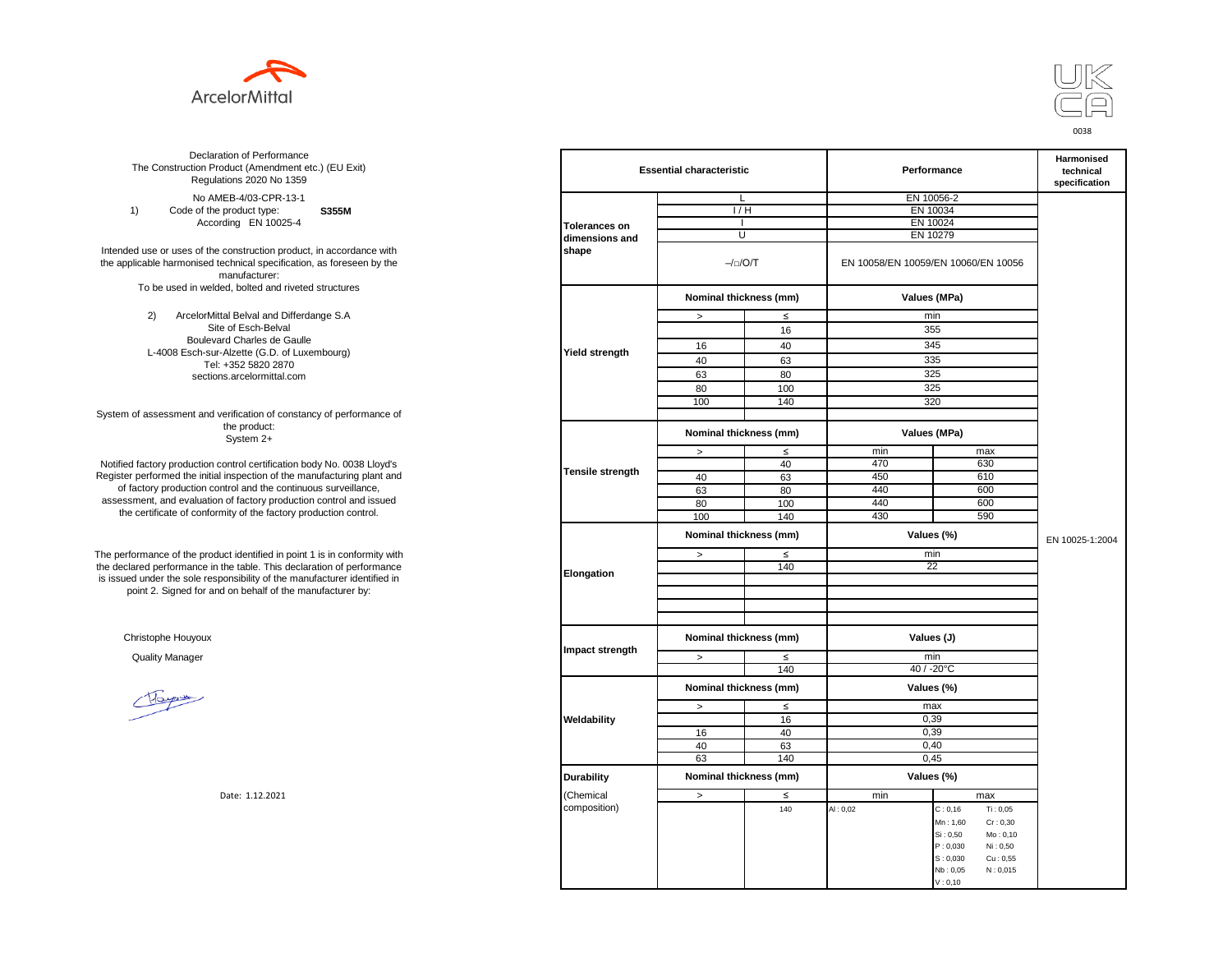



**S355M**  No AMEB-4/03-CPR-13-1 1) Code of the product type: According EN 10025-4

Intended use or uses of the construction product, in accordance with the applicable harmonised technical specification, as foreseen by the manufacturer: To be used in welded, bolted and riveted structures

> 2) ArcelorMittal Belval and Differdange S.A Site of Esch-Belval Boulevard Charles de Gaulle L-4008 Esch-sur-Alzette (G.D. of Luxembourg) Tel: +352 5820 2870 sections.arcelormittal.com

System of assessment and verification of constancy of performance of the product: System 2+

Notified factory production control certification body No. 0038 Lloyd's Register performed the initial inspection of the manufacturing plant and of factory production control and the continuous surveillance, assessment, and evaluation of factory production control and issued the certificate of conformity of the factory production control.

The performance of the product identified in point 1 is in conformity with the declared performance in the table. This declaration of performance is issued under the sole responsibility of the manufacturer identified in point 2. Signed for and on behalf of the manufacturer by:

Christophe Houyoux

Hope

| ation of Performance<br>oduct (Amendment etc.) (EU Exit)<br>ations 2020 No 1359                         |                      | <b>Essential characteristic</b> |        |            | Performance                                                          |                 |  |
|---------------------------------------------------------------------------------------------------------|----------------------|---------------------------------|--------|------------|----------------------------------------------------------------------|-----------------|--|
| IEB-4/03-CPR-13-1                                                                                       |                      | L                               |        | EN 10056-2 |                                                                      |                 |  |
| product type:<br>S355M                                                                                  |                      | 1/H                             |        |            | EN 10034                                                             |                 |  |
| rding EN 10025-4                                                                                        | <b>Tolerances on</b> |                                 |        |            | EN 10024                                                             |                 |  |
|                                                                                                         | dimensions and       |                                 | U      |            | EN 10279                                                             |                 |  |
| construction product, in accordance with<br>echnical specification, as foreseen by the<br>manufacturer: | shape                | $-/-/O/T$                       |        |            | EN 10058/EN 10059/EN 10060/EN 10056                                  |                 |  |
| ed, bolted and riveted structures                                                                       |                      | Nominal thickness (mm)          |        |            | Values (MPa)                                                         |                 |  |
| tal Belval and Differdange S.A                                                                          |                      | $\, >$                          | $\leq$ |            | min                                                                  |                 |  |
| e of Esch-Belval                                                                                        |                      |                                 | 16     |            | 355                                                                  |                 |  |
| ard Charles de Gaulle                                                                                   |                      |                                 |        |            |                                                                      |                 |  |
| -Alzette (G.D. of Luxembourg)                                                                           | Yield strength       | 16                              | 40     |            | 345                                                                  |                 |  |
| +352 5820 2870                                                                                          |                      | 40                              | 63     |            | 335                                                                  |                 |  |
| ns.arcelormittal.com                                                                                    |                      | 63                              | 80     |            | 325                                                                  |                 |  |
|                                                                                                         |                      | 80                              | 100    |            | 325                                                                  |                 |  |
|                                                                                                         |                      | 100                             | 140    |            | 320                                                                  |                 |  |
| verification of constancy of performance of                                                             |                      |                                 |        |            |                                                                      |                 |  |
| the product:<br>System 2+                                                                               |                      | Nominal thickness (mm)          |        |            | Values (MPa)                                                         |                 |  |
|                                                                                                         |                      | $\,$                            | $\leq$ | min        | max                                                                  |                 |  |
| control certification body No. 0038 Lloyd's                                                             |                      |                                 | 40     | 470        | 630                                                                  |                 |  |
| inspection of the manufacturing plant and                                                               | Tensile strength     | 40                              | 63     | 450        | 610                                                                  |                 |  |
| ntrol and the continuous surveillance,                                                                  |                      | 63                              | 80     | 440        | 600                                                                  |                 |  |
| of factory production control and issued                                                                |                      | 80                              | 100    | 440        | 600                                                                  |                 |  |
| mity of the factory production control.                                                                 |                      | 100                             | 140    | 430        | 590                                                                  |                 |  |
|                                                                                                         |                      | Nominal thickness (mm)          |        |            | Values (%)                                                           | EN 10025-1:2004 |  |
| uct identified in point 1 is in conformity with                                                         |                      | $\, >$                          | $\leq$ |            | min                                                                  |                 |  |
| the table. This declaration of performance<br>ponsibility of the manufacturer identified in             | Elongation           |                                 | 140    |            | 22                                                                   |                 |  |
| d on behalf of the manufacturer by:                                                                     |                      |                                 |        |            |                                                                      |                 |  |
|                                                                                                         |                      |                                 |        |            |                                                                      |                 |  |
|                                                                                                         | Impact strength      | Nominal thickness (mm)          |        | Values (J) |                                                                      |                 |  |
|                                                                                                         |                      | $\, >$                          | $\leq$ |            | min                                                                  |                 |  |
|                                                                                                         |                      |                                 | 140    |            | $40 / -20$ °C                                                        |                 |  |
|                                                                                                         |                      | Nominal thickness (mm)          |        |            | Values (%)                                                           |                 |  |
|                                                                                                         |                      | $\,>$                           | $\leq$ |            | max                                                                  |                 |  |
|                                                                                                         | Weldability          |                                 | 16     |            | 0,39                                                                 |                 |  |
|                                                                                                         |                      | 16                              | 40     |            | 0,39                                                                 |                 |  |
|                                                                                                         |                      | 40                              | 63     |            | 0,40                                                                 |                 |  |
|                                                                                                         |                      | 63                              | 140    |            | 0,45                                                                 |                 |  |
|                                                                                                         | <b>Durability</b>    | Nominal thickness (mm)          |        |            | Values (%)                                                           |                 |  |
| Date: 1.12.2021                                                                                         | (Chemical            | $\,>$                           | $\leq$ | min        | max                                                                  |                 |  |
|                                                                                                         | composition)         |                                 | 140    | AI: 0,02   | Ti: 0,05<br>C: 0, 16                                                 |                 |  |
|                                                                                                         |                      |                                 |        |            | Cr: 0,30<br>Mn: 1,60<br>Si: 0,50<br>Mo: 0,10<br>P: 0,030<br>Ni: 0,50 |                 |  |
|                                                                                                         |                      |                                 |        |            | S: 0,030<br>Cu: 0,55<br>Nb: 0,05<br>N: 0,015<br>V: 0, 10             |                 |  |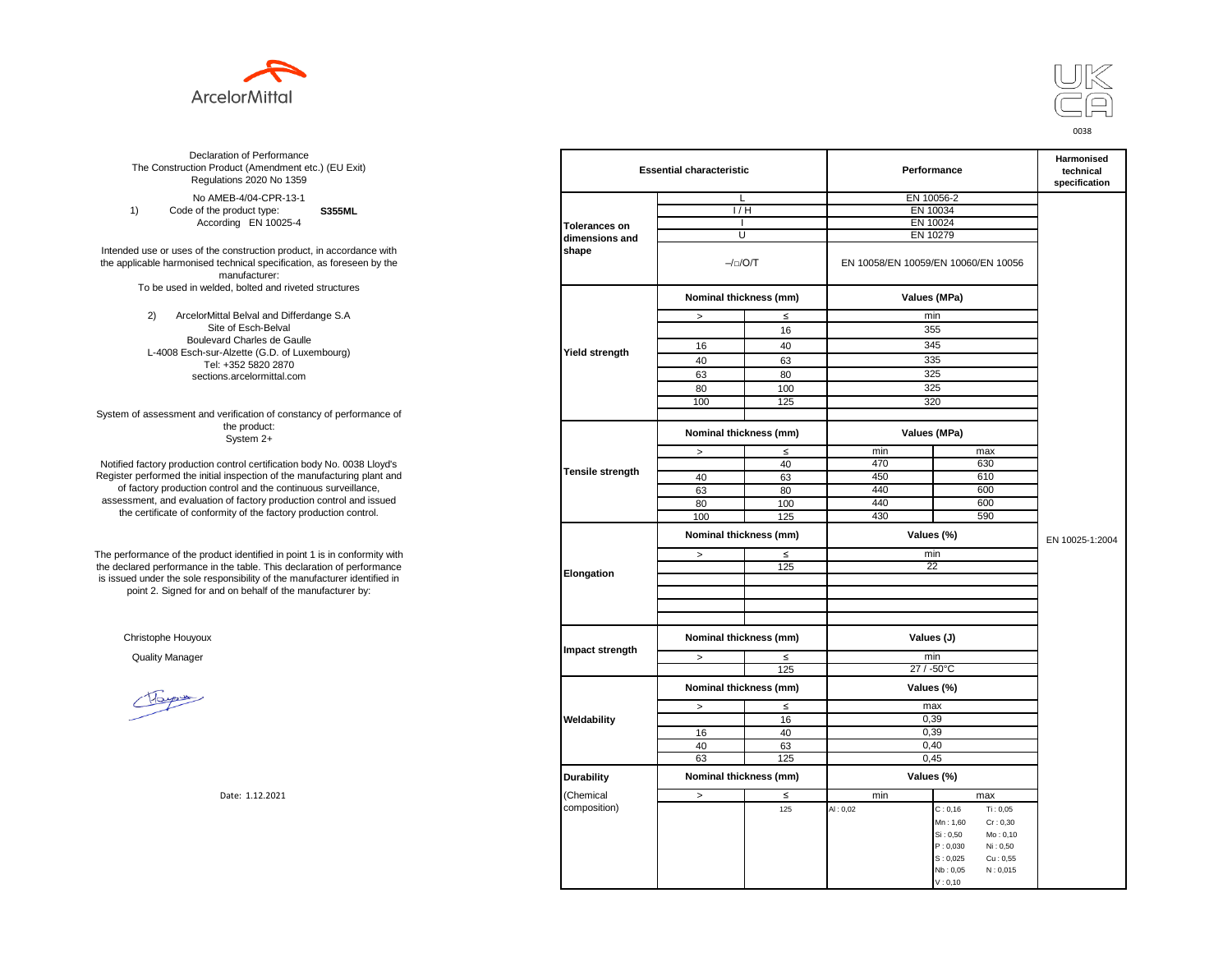



**S355ML**  No AMEB-4/04-CPR-13-1 1) Code of the product type: According EN 10025-4

Intended use or uses of the construction product, in accordance with the applicable harmonised technical specification, as foreseen by the manufacturer: To be used in welded, bolted and riveted structures

> 2) ArcelorMittal Belval and Differdange S.A Site of Esch-Belval Boulevard Charles de Gaulle L-4008 Esch-sur-Alzette (G.D. of Luxembourg) Tel: +352 5820 2870 sections.arcelormittal.com

System of assessment and verification of constancy of performance of the product: System 2+

Notified factory production control certification body No. 0038 Lloyd's Register performed the initial inspection of the manufacturing plant and of factory production control and the continuous surveillance, assessment, and evaluation of factory production control and issued the certificate of conformity of the factory production control.

The performance of the product identified in point 1 is in conformity with the declared performance in the table. This declaration of performance is issued under the sole responsibility of the manufacturer identified in point 2. Signed for and on behalf of the manufacturer by:

Christophe Houyoux

Hope

| ation of Performance<br>oduct (Amendment etc.) (EU Exit)<br>ations 2020 No 1359                         |                      | <b>Essential characteristic</b>      |        |            | Performance                                                          |                 |  |
|---------------------------------------------------------------------------------------------------------|----------------------|--------------------------------------|--------|------------|----------------------------------------------------------------------|-----------------|--|
| IEB-4/04-CPR-13-1                                                                                       |                      | L                                    |        | EN 10056-2 |                                                                      |                 |  |
| product type:<br><b>S355ML</b>                                                                          |                      | 1/H                                  |        |            | EN 10034                                                             |                 |  |
| rding EN 10025-4                                                                                        | <b>Tolerances on</b> |                                      |        |            | EN 10024                                                             |                 |  |
|                                                                                                         | dimensions and       | U                                    |        |            | EN 10279                                                             |                 |  |
| construction product, in accordance with<br>echnical specification, as foreseen by the<br>manufacturer: | shape                | $-/-/O/T$                            |        |            | EN 10058/EN 10059/EN 10060/EN 10056                                  |                 |  |
| ed, bolted and riveted structures                                                                       |                      | Nominal thickness (mm)               |        |            | Values (MPa)                                                         |                 |  |
| tal Belval and Differdange S.A                                                                          |                      | $\, >$                               | $\leq$ |            | min                                                                  |                 |  |
| e of Esch-Belval                                                                                        |                      |                                      | 16     |            | 355                                                                  |                 |  |
| ard Charles de Gaulle                                                                                   |                      |                                      |        |            |                                                                      |                 |  |
| -Alzette (G.D. of Luxembourg)                                                                           | Yield strength       | 16                                   | 40     |            | 345                                                                  |                 |  |
| +352 5820 2870                                                                                          |                      | 40                                   | 63     |            | 335                                                                  |                 |  |
| ns.arcelormittal.com                                                                                    |                      | 63                                   | 80     |            | 325                                                                  |                 |  |
|                                                                                                         |                      | 80                                   | 100    |            | 325                                                                  |                 |  |
|                                                                                                         |                      | 100                                  | 125    |            | 320                                                                  |                 |  |
| verification of constancy of performance of                                                             |                      |                                      |        |            |                                                                      |                 |  |
| the product:<br>System 2+                                                                               |                      | Nominal thickness (mm)               |        |            | Values (MPa)                                                         |                 |  |
|                                                                                                         |                      | $\,$                                 | $\leq$ | min        | max                                                                  |                 |  |
| control certification body No. 0038 Lloyd's                                                             |                      |                                      | 40     | 470        | 630                                                                  |                 |  |
| inspection of the manufacturing plant and                                                               | Tensile strength     | 40                                   | 63     | 450        | 610                                                                  |                 |  |
| ntrol and the continuous surveillance,                                                                  |                      | 63                                   | 80     | 440        | 600                                                                  |                 |  |
| of factory production control and issued                                                                |                      | 80                                   | 100    | 440        | 600                                                                  |                 |  |
| mity of the factory production control.                                                                 |                      | 100                                  | 125    | 430        | 590                                                                  |                 |  |
|                                                                                                         |                      | Nominal thickness (mm)               |        |            | Values (%)                                                           | EN 10025-1:2004 |  |
| uct identified in point 1 is in conformity with                                                         |                      | $\, >$                               | $\leq$ |            | min                                                                  |                 |  |
| the table. This declaration of performance<br>ponsibility of the manufacturer identified in             | Elongation           |                                      | 125    |            | 22                                                                   |                 |  |
| d on behalf of the manufacturer by:                                                                     |                      |                                      |        |            |                                                                      |                 |  |
|                                                                                                         |                      |                                      |        |            |                                                                      |                 |  |
|                                                                                                         | Impact strength      | Nominal thickness (mm)<br>Values (J) |        |            |                                                                      |                 |  |
|                                                                                                         |                      | $\, >$                               | $\leq$ |            | min                                                                  |                 |  |
|                                                                                                         |                      |                                      | 125    |            | 27 / -50°C                                                           |                 |  |
|                                                                                                         |                      | Nominal thickness (mm)               |        |            | Values (%)                                                           |                 |  |
|                                                                                                         |                      | $\,>$                                | $\leq$ |            | max                                                                  |                 |  |
|                                                                                                         | Weldability          |                                      | 16     |            | 0,39                                                                 |                 |  |
|                                                                                                         |                      | 16                                   | 40     |            | 0,39                                                                 |                 |  |
|                                                                                                         |                      | 40                                   | 63     |            | 0,40                                                                 |                 |  |
|                                                                                                         |                      | 63                                   | 125    |            | 0,45                                                                 |                 |  |
|                                                                                                         | <b>Durability</b>    | Nominal thickness (mm)               |        |            | Values (%)                                                           |                 |  |
| Date: 1.12.2021                                                                                         | (Chemical            | $\,>$                                | $\leq$ | min        | max                                                                  |                 |  |
|                                                                                                         | composition)         |                                      | 125    | AI: 0,02   | Ti: 0,05<br>C: 0, 16                                                 |                 |  |
|                                                                                                         |                      |                                      |        |            | Cr: 0,30<br>Mn: 1,60<br>Si: 0,50<br>Mo: 0,10<br>P: 0,030<br>Ni: 0,50 |                 |  |
|                                                                                                         |                      |                                      |        |            | S: 0,025<br>Cu: 0,55<br>Nb: 0,05<br>N: 0,015<br>V: 0, 10             |                 |  |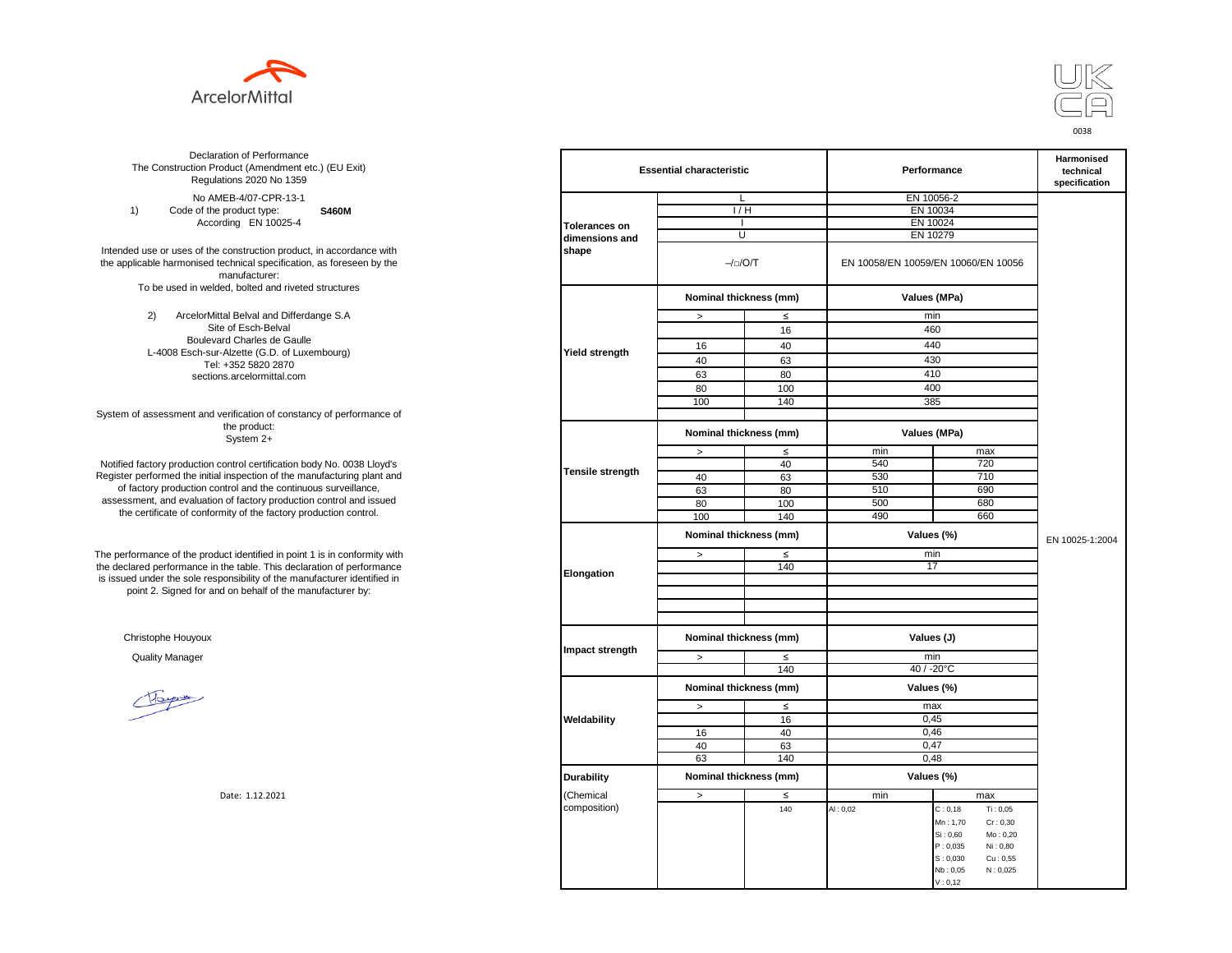



**S460M**  No AMEB-4/07-CPR-13-1 1) Code of the product type: According EN 10025-4

Intended use or uses of the construction product, in accordance with the applicable harmonised technical specification, as foreseen by the manufacturer: To be used in welded, bolted and riveted structures

> 2) ArcelorMittal Belval and Differdange S.A Site of Esch-Belval Boulevard Charles de Gaulle L-4008 Esch-sur-Alzette (G.D. of Luxembourg) Tel: +352 5820 2870 sections.arcelormittal.com

System of assessment and verification of constancy of performance of the product: System 2+

Notified factory production control certification body No. 0038 Lloyd's Register performed the initial inspection of the manufacturing plant and of factory production control and the continuous surveillance, assessment, and evaluation of factory production control and issued the certificate of conformity of the factory production control.

The performance of the product identified in point 1 is in conformity with the declared performance in the table. This declaration of performance is issued under the sole responsibility of the manufacturer identified in point 2. Signed for and on behalf of the manufacturer by:

Christophe Houyoux

Hope

| ation of Performance<br>oduct (Amendment etc.) (EU Exit)<br>ations 2020 No 1359                         |                      | <b>Essential characteristic</b> |        |            | Performance                                                                                  |                 |  |
|---------------------------------------------------------------------------------------------------------|----------------------|---------------------------------|--------|------------|----------------------------------------------------------------------------------------------|-----------------|--|
| IEB-4/07-CPR-13-1                                                                                       |                      | L                               |        | EN 10056-2 |                                                                                              |                 |  |
| product type:<br><b>S460M</b>                                                                           |                      | 1/H                             |        |            | EN 10034                                                                                     |                 |  |
| rding EN 10025-4                                                                                        | <b>Tolerances on</b> |                                 |        |            | EN 10024                                                                                     |                 |  |
|                                                                                                         | dimensions and       | U                               |        |            | EN 10279                                                                                     |                 |  |
| construction product, in accordance with<br>echnical specification, as foreseen by the<br>manufacturer: | shape                | $-/-/O/T$                       |        |            | EN 10058/EN 10059/EN 10060/EN 10056                                                          |                 |  |
| ed, bolted and riveted structures                                                                       |                      | Nominal thickness (mm)          |        |            | Values (MPa)                                                                                 |                 |  |
| tal Belval and Differdange S.A                                                                          |                      | $\, >$                          | $\leq$ |            | min                                                                                          |                 |  |
| e of Esch-Belval                                                                                        |                      |                                 | 16     |            | 460                                                                                          |                 |  |
| ard Charles de Gaulle                                                                                   |                      | 16                              | 40     |            | 440                                                                                          |                 |  |
| -Alzette (G.D. of Luxembourg)                                                                           | Yield strength       |                                 |        |            |                                                                                              |                 |  |
| +352 5820 2870                                                                                          |                      | 40                              | 63     |            | 430                                                                                          |                 |  |
| ns.arcelormittal.com                                                                                    |                      | 63                              | 80     |            | 410                                                                                          |                 |  |
|                                                                                                         |                      | 80                              | 100    |            | 400                                                                                          |                 |  |
|                                                                                                         |                      | 100                             | 140    |            | 385                                                                                          |                 |  |
| verification of constancy of performance of                                                             |                      |                                 |        |            |                                                                                              |                 |  |
| the product:<br>System 2+                                                                               |                      | Nominal thickness (mm)          |        |            | Values (MPa)                                                                                 |                 |  |
|                                                                                                         |                      | $\,$                            | $\leq$ | min        | max                                                                                          |                 |  |
| control certification body No. 0038 Lloyd's                                                             |                      |                                 | 40     | 540        | 720                                                                                          |                 |  |
| inspection of the manufacturing plant and                                                               | Tensile strength     | 40                              | 63     | 530        | 710                                                                                          |                 |  |
| ntrol and the continuous surveillance,                                                                  |                      | 63                              | 80     | 510        | 690                                                                                          |                 |  |
| of factory production control and issued                                                                |                      | 80                              | 100    | 500        | 680                                                                                          |                 |  |
| mity of the factory production control.                                                                 |                      | 100                             | 140    | 490        | 660                                                                                          |                 |  |
|                                                                                                         |                      | Nominal thickness (mm)          |        |            | Values (%)                                                                                   | EN 10025-1:2004 |  |
| uct identified in point 1 is in conformity with                                                         |                      | $\, >$                          | $\leq$ |            | min                                                                                          |                 |  |
| the table. This declaration of performance<br>ponsibility of the manufacturer identified in             | Elongation           |                                 | 140    | 17         |                                                                                              |                 |  |
| d on behalf of the manufacturer by:                                                                     |                      |                                 |        |            |                                                                                              |                 |  |
|                                                                                                         |                      |                                 |        |            |                                                                                              |                 |  |
|                                                                                                         | Impact strength      | Nominal thickness (mm)          |        | Values (J) |                                                                                              |                 |  |
|                                                                                                         |                      | $\,>$                           | $\leq$ |            | min                                                                                          |                 |  |
|                                                                                                         |                      |                                 | 140    |            | $40 / -20$ °C                                                                                |                 |  |
|                                                                                                         |                      | Nominal thickness (mm)          |        |            | Values (%)                                                                                   |                 |  |
|                                                                                                         |                      | $\,>$                           | $\leq$ |            | max                                                                                          |                 |  |
|                                                                                                         | Weldability          |                                 | 16     |            | 0,45                                                                                         |                 |  |
|                                                                                                         |                      | 16                              | 40     |            | 0,46                                                                                         |                 |  |
|                                                                                                         |                      | 40                              | 63     |            | 0,47                                                                                         |                 |  |
|                                                                                                         |                      | 63                              | 140    |            | 0,48                                                                                         |                 |  |
|                                                                                                         | <b>Durability</b>    | Nominal thickness (mm)          |        |            | Values (%)                                                                                   |                 |  |
| Date: 1.12.2021                                                                                         | (Chemical            | $\,>$                           | $\leq$ | min        | max                                                                                          |                 |  |
|                                                                                                         | composition)         |                                 | 140    | AI: 0,02   | Ti: 0,05<br>C: 0, 18                                                                         |                 |  |
|                                                                                                         |                      |                                 |        |            | Cr: 0,30<br>Mn: 1,70<br>Si: 0,60<br>Mo: 0,20<br>P: 0,035<br>Ni: 0,80<br>S: 0,030<br>Cu: 0,55 |                 |  |
|                                                                                                         |                      |                                 |        |            | Nb: 0,05<br>N: 0,025<br>V: 0, 12                                                             |                 |  |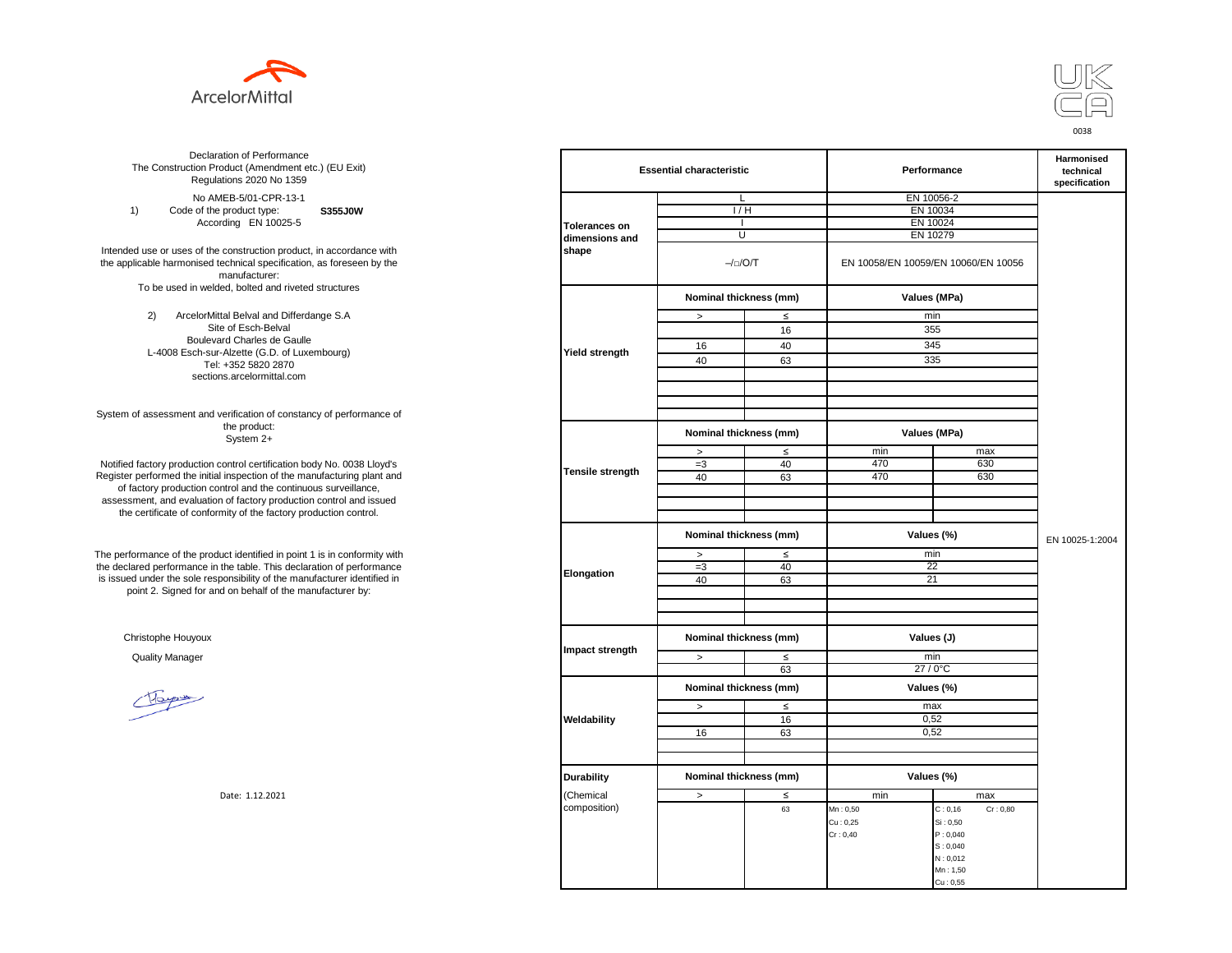



**S355J0W**  No AMEB-5/01-CPR-13-1 1) Code of the product type: According EN 10025-5

Intended use or uses of the construction product, in accordance with the applicable harmonised technical specification, as foreseen by the manufacturer: To be used in welded, bolted and riveted structures

> 2) ArcelorMittal Belval and Differdange S.A Site of Esch-Belval Boulevard Charles de Gaulle L-4008 Esch-sur-Alzette (G.D. of Luxembourg) Tel: +352 5820 2870 sections.arcelormittal.com

System of assessment and verification of constancy of performance of the product: System 2+

Notified factory production control certification body No. 0038 Lloyd's Register performed the initial inspection of the manufacturing plant and of factory production control and the continuous surveillance, assessment, and evaluation of factory production control and issued the certificate of conformity of the factory production control.

The performance of the product identified in point 1 is in conformity with the declared performance in the table. This declaration of performance is issued under the sole responsibility of the manufacturer identified in point 2. Signed for and on behalf of the manufacturer by:

Christophe Houyoux

| ation of Performance<br>oduct (Amendment etc.) (EU Exit)<br>ations 2020 No 1359                         |                         | <b>Essential characteristic</b> |        |            | Performance                         |                 |  |
|---------------------------------------------------------------------------------------------------------|-------------------------|---------------------------------|--------|------------|-------------------------------------|-----------------|--|
| IEB-5/01-CPR-13-1                                                                                       |                         | L                               |        |            | EN 10056-2                          |                 |  |
| product type:<br><b>S355J0W</b>                                                                         |                         | 1/H                             |        |            | EN 10034                            |                 |  |
| rding EN 10025-5                                                                                        | <b>Tolerances on</b>    |                                 |        |            | EN 10024                            |                 |  |
|                                                                                                         | dimensions and          | U                               |        |            | EN 10279                            |                 |  |
| construction product, in accordance with<br>echnical specification, as foreseen by the<br>manufacturer: | shape                   | $-/-/O/T$                       |        |            | EN 10058/EN 10059/EN 10060/EN 10056 |                 |  |
| ed, bolted and riveted structures                                                                       |                         | Nominal thickness (mm)          |        |            | Values (MPa)                        |                 |  |
| tal Belval and Differdange S.A                                                                          |                         | $\, >$                          | $\leq$ |            | min                                 |                 |  |
| e of Esch-Belval                                                                                        |                         |                                 | 16     |            | 355                                 |                 |  |
| ard Charles de Gaulle                                                                                   |                         | 16                              | 40     |            | 345                                 |                 |  |
| -Alzette (G.D. of Luxembourg)                                                                           | <b>Yield strength</b>   |                                 |        |            |                                     |                 |  |
| +352 5820 2870                                                                                          |                         | 40                              | 63     |            | 335                                 |                 |  |
| ns.arcelormittal.com                                                                                    |                         |                                 |        |            |                                     |                 |  |
| verification of constancy of performance of                                                             |                         |                                 |        |            |                                     |                 |  |
| the product:<br>System 2+                                                                               |                         | Nominal thickness (mm)          |        |            | Values (MPa)                        |                 |  |
|                                                                                                         |                         | $\geq$                          | $\leq$ | min        | max                                 |                 |  |
| control certification body No. 0038 Lloyd's                                                             |                         | $=3$                            | 40     | 470        | 630                                 |                 |  |
| inspection of the manufacturing plant and                                                               | <b>Tensile strength</b> | 40                              | 63     | 470        | 630                                 |                 |  |
| ntrol and the continuous surveillance,                                                                  |                         |                                 |        |            |                                     |                 |  |
| n of factory production control and issued                                                              |                         |                                 |        |            |                                     |                 |  |
| mity of the factory production control.                                                                 |                         |                                 |        |            |                                     |                 |  |
|                                                                                                         |                         | Nominal thickness (mm)          |        |            | Values (%)                          | EN 10025-1:2004 |  |
| uct identified in point 1 is in conformity with                                                         |                         | $\,$                            | $\leq$ |            | min                                 |                 |  |
| the table. This declaration of performance                                                              | Elongation              | $=3$                            | 40     |            | 22                                  |                 |  |
| ponsibility of the manufacturer identified in                                                           |                         | 40                              | 63     |            | 21                                  |                 |  |
| d on behalf of the manufacturer by:                                                                     |                         |                                 |        |            |                                     |                 |  |
|                                                                                                         |                         |                                 |        |            |                                     |                 |  |
|                                                                                                         |                         |                                 |        |            |                                     |                 |  |
|                                                                                                         | Impact strength         | Nominal thickness (mm)          |        | Values (J) |                                     |                 |  |
|                                                                                                         |                         | $\, >$                          | $\leq$ |            | min                                 |                 |  |
|                                                                                                         |                         |                                 | 63     |            | 27/0°C                              |                 |  |
|                                                                                                         |                         | Nominal thickness (mm)          |        |            | Values (%)                          |                 |  |
|                                                                                                         |                         | $\, >$                          | ≤      |            | max                                 |                 |  |
|                                                                                                         | Weldability             |                                 | 16     |            | 0,52                                |                 |  |
|                                                                                                         |                         | 16                              | 63     |            | 0,52                                |                 |  |
|                                                                                                         |                         |                                 |        |            |                                     |                 |  |
|                                                                                                         |                         |                                 |        |            |                                     |                 |  |
|                                                                                                         | <b>Durability</b>       | Nominal thickness (mm)          |        |            | Values (%)                          |                 |  |
| Date: 1.12.2021                                                                                         | (Chemical               | $\, >$                          | $\leq$ | min        | max                                 |                 |  |
|                                                                                                         | composition)            |                                 | 63     | Mn: 0,50   | C: 0, 16<br>Cr: 0,80                |                 |  |
|                                                                                                         |                         |                                 |        | Cu: 0,25   | Si: 0,50                            |                 |  |
|                                                                                                         |                         |                                 |        | Cr: 0,40   | P: 0,040                            |                 |  |
|                                                                                                         |                         |                                 |        |            | S: 0,040                            |                 |  |
|                                                                                                         |                         |                                 |        |            | N: 0,012                            |                 |  |
|                                                                                                         |                         |                                 |        |            | Mn: 1,50                            |                 |  |
|                                                                                                         |                         |                                 |        |            | Cu: 0,55                            |                 |  |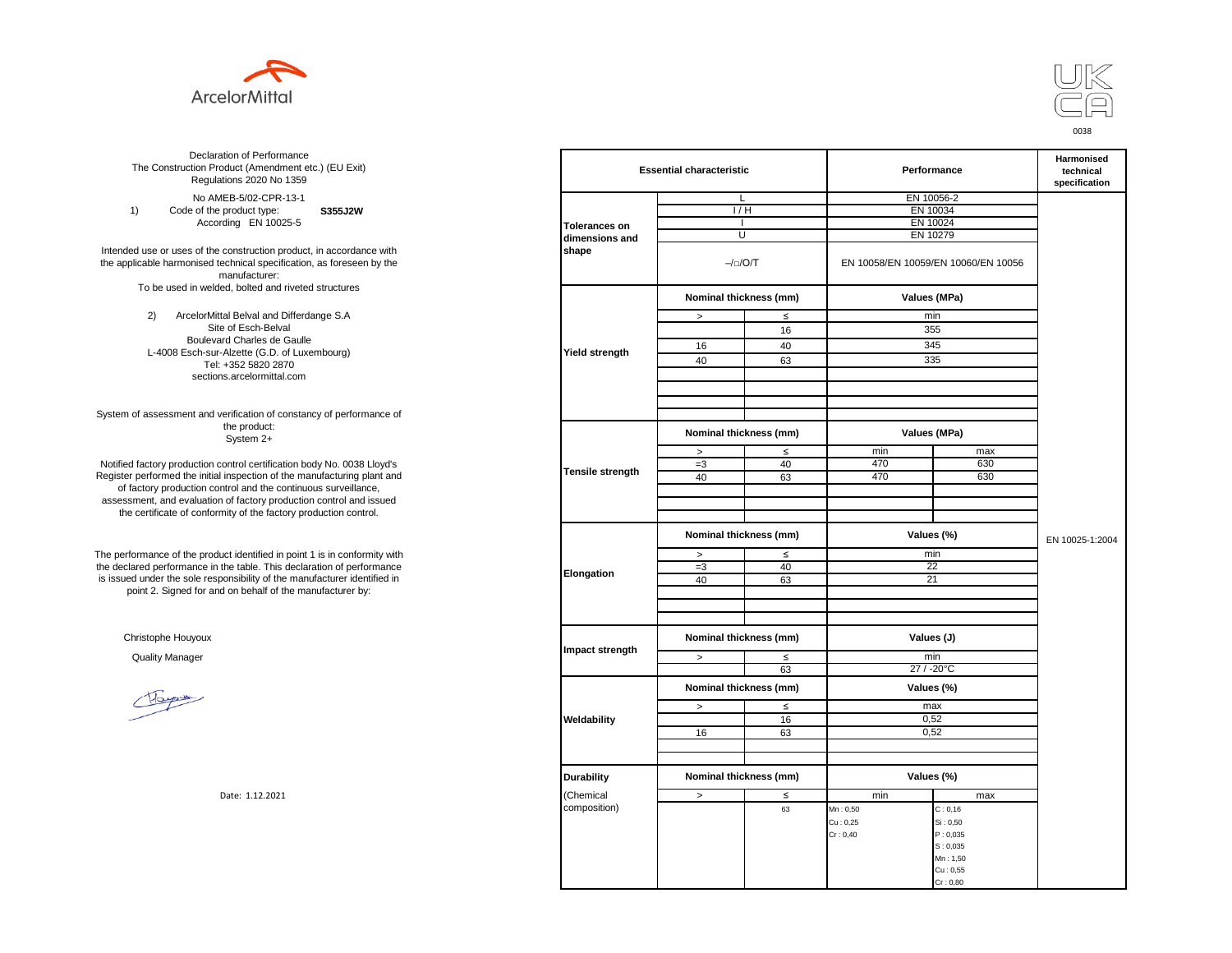



**S355J2W**  No AMEB-5/02-CPR-13-1 1) Code of the product type: According EN 10025-5

Intended use or uses of the construction product, in accordance with the applicable harmonised technical specification, as foreseen by the manufacturer: To be used in welded, bolted and riveted structures

> 2) ArcelorMittal Belval and Differdange S.A Site of Esch-Belval Boulevard Charles de Gaulle L-4008 Esch-sur-Alzette (G.D. of Luxembourg) Tel: +352 5820 2870 sections.arcelormittal.com

System of assessment and verification of constancy of performance of the product: System 2+

Notified factory production control certification body No. 0038 Lloyd's Register performed the initial inspection of the manufacturing plant and of factory production control and the continuous surveillance, assessment, and evaluation of factory production control and issued the certificate of conformity of the factory production control.

The performance of the product identified in point 1 is in conformity with the declared performance in the table. This declaration of performance is issued under the sole responsibility of the manufacturer identified in point 2. Signed for and on behalf of the manufacturer by:

Christophe Houyoux

| ation of Performance<br>oduct (Amendment etc.) (EU Exit)<br>ations 2020 No 1359                         |                        | <b>Essential characteristic</b> |               | Performance | <b>Harmonised</b><br>technical<br>specification |  |
|---------------------------------------------------------------------------------------------------------|------------------------|---------------------------------|---------------|-------------|-------------------------------------------------|--|
| IEB-5/02-CPR-13-1                                                                                       |                        | L                               |               |             | EN 10056-2                                      |  |
| product type:<br>S355J2W                                                                                |                        | $\overline{H}$                  |               |             | EN 10034                                        |  |
| rding EN 10025-5                                                                                        | <b>Tolerances on</b>   |                                 |               |             | EN 10024                                        |  |
|                                                                                                         | dimensions and         | U                               |               |             | EN 10279                                        |  |
| construction product, in accordance with<br>echnical specification, as foreseen by the<br>manufacturer: | shape                  |                                 | $-/-/O/T$     |             | EN 10058/EN 10059/EN 10060/EN 10056             |  |
| ed, bolted and riveted structures                                                                       |                        | Nominal thickness (mm)          |               |             | Values (MPa)                                    |  |
| tal Belval and Differdange S.A                                                                          |                        | $\, >$                          | $\leq$        |             | min                                             |  |
| e of Esch-Belval                                                                                        |                        |                                 | 16            |             | 355                                             |  |
| ard Charles de Gaulle                                                                                   |                        | 16                              | 40            |             | 345                                             |  |
| -Alzette (G.D. of Luxembourg)                                                                           | Yield strength         |                                 |               |             |                                                 |  |
| +352 5820 2870                                                                                          |                        | 40                              | 63            |             | 335                                             |  |
| ns.arcelormittal.com                                                                                    |                        |                                 |               |             |                                                 |  |
| verification of constancy of performance of                                                             |                        |                                 |               |             |                                                 |  |
| the product:<br>System 2+                                                                               |                        | Nominal thickness (mm)          |               |             | Values (MPa)                                    |  |
|                                                                                                         |                        | $\,$                            | $\leq$        | min         | max                                             |  |
| control certification body No. 0038 Lloyd's                                                             | Tensile strength       | $=3$                            | 40            | 470         | 630                                             |  |
| inspection of the manufacturing plant and                                                               |                        | 40                              | 63            | 470         | 630                                             |  |
| ntrol and the continuous surveillance,                                                                  |                        |                                 |               |             |                                                 |  |
| of factory production control and issued<br>mity of the factory production control.                     |                        |                                 |               |             |                                                 |  |
|                                                                                                         | Nominal thickness (mm) |                                 |               | Values (%)  | EN 10025-1:2004                                 |  |
| uct identified in point 1 is in conformity with                                                         |                        | $\,$                            | $\leq$<br>min |             |                                                 |  |
| the table. This declaration of performance                                                              |                        | $=3$                            | 40            | 22          |                                                 |  |
| ponsibility of the manufacturer identified in                                                           | Elongation             | 40                              | 63            | 21          |                                                 |  |
| d on behalf of the manufacturer by:                                                                     |                        |                                 |               |             |                                                 |  |
|                                                                                                         |                        |                                 |               |             |                                                 |  |
|                                                                                                         | Impact strength        | Nominal thickness (mm)          |               | Values (J)  |                                                 |  |
|                                                                                                         |                        | $\,>$                           | $\leq$        |             | min                                             |  |
|                                                                                                         |                        |                                 | 63            |             | 27 / -20°C                                      |  |
|                                                                                                         |                        | Nominal thickness (mm)          |               |             | Values (%)                                      |  |
|                                                                                                         |                        | $\, >$                          | $\leq$        |             | max                                             |  |
|                                                                                                         | Weldability            |                                 | 16            |             | 0,52                                            |  |
|                                                                                                         |                        | 16                              | 63            |             | 0,52                                            |  |
|                                                                                                         |                        |                                 |               |             |                                                 |  |
|                                                                                                         |                        |                                 |               |             |                                                 |  |
|                                                                                                         | <b>Durability</b>      | Nominal thickness (mm)          |               |             | Values (%)                                      |  |
| Date: 1.12.2021                                                                                         | (Chemical              | $\, >$                          | $\leq$        | min         | max                                             |  |
|                                                                                                         | composition)           |                                 | 63            | Mn: 0,50    | C: 0, 16                                        |  |
|                                                                                                         |                        |                                 |               | Cu: 0,25    | Si: 0,50                                        |  |
|                                                                                                         |                        |                                 |               | Cr: 0,40    | P: 0,035                                        |  |
|                                                                                                         |                        |                                 |               |             | S: 0,035                                        |  |
|                                                                                                         |                        |                                 |               |             | Mn: 1,50                                        |  |
|                                                                                                         |                        |                                 |               |             | Cu: 0,55                                        |  |
|                                                                                                         |                        |                                 |               |             | Cr: 0,80                                        |  |